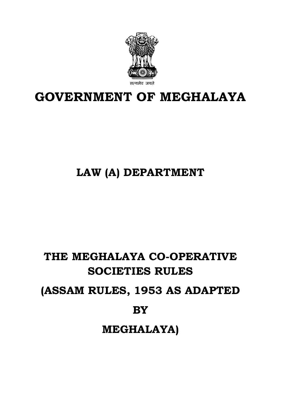

# **GOVERNMENT OF MEGHALAYA**

# **LAW (A) DEPARTMENT**

# **THE MEGHALAYA CO-OPERATIVE SOCIETIES RULES (ASSAM RULES, 1953 AS ADAPTED BY MEGHALAYA)**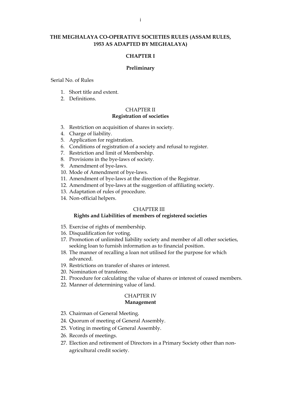#### **THE MEGHALAYA CO-OPERATIVE SOCIETIES RULES (ASSAM RULES, 1953 AS ADAPTED BY MEGHALAYA)**

#### **CHAPTER I**

#### **Preliminary**

Serial No. of Rules

- 1. Short title and extent.
- 2. Definitions.

#### CHAPTER II **Registration of societies**

- 3. Restriction on acquisition of shares in society.
- 4. Charge of liability.
- 5. Application for registration.
- 6. Conditions of registration of a society and refusal to register.
- 7. Restriction and limit of Membership.
- 8. Provisions in the bye-laws of society.
- 9. Amendment of bye-laws.
- 10. Mode of Amendment of bye-laws.
- 11. Amendment of bye-laws at the direction of the Registrar.
- 12. Amendment of bye-laws at the suggestion of affiliating society.
- 13. Adaptation of rules of procedure.
- 14. Non-official helpers.

#### CHAPTER III

#### **Rights and Liabilities of members of registered societies**

- 15. Exercise of rights of membership.
- 16. Disqualification for voting.
- 17. Promotion of unlimited liability society and member of all other societies, seeking loan to furnish information as to financial position.
- 18. The manner of recalling a loan not utilised for the purpose for which advanced.
- 19. Restrictions on transfer of shares or interest.
- 20. Nomination of transferee.
- 21. Procedure for calculating the value of shares or interest of ceased members.
- 22. Manner of determining value of land.

#### CHAPTER IV **Management**

- 23. Chairman of General Meeting.
- 24. Quorum of meeting of General Assembly.
- 25. Voting in meeting of General Assembly.
- 26. Records of meetings.
- 27. Election and retirement of Directors in a Primary Society other than nonagricultural credit society.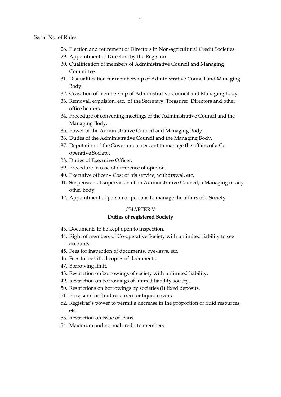- 28. Election and retirement of Directors in Non-agricultural Credit Societies.
- 29. Appointment of Directors by the Registrar.
- 30. Qualification of members of Administrative Council and Managing Committee.
- 31. Disqualification for membership of Administrative Council and Managing Body.
- 32. Ceasation of membership of Administrative Council and Managing Body.
- 33. Removal, expulsion, etc., of the Secretary, Treasurer, Directors and other office bearers.
- 34. Procedure of convening meetings of the Administrative Council and the Managing Body.
- 35. Power of the Administrative Council and Managing Body.
- 36. Duties of the Administrative Council and the Managing Body.
- 37. Deputation of the Government servant to manage the affairs of a Cooperative Society.
- 38. Duties of Executive Officer.
- 39. Procedure in case of difference of opinion.
- 40. Executive officer Cost of his service, withdrawal, etc.
- 41. Suspension of supervision of an Administrative Council, a Managing or any other body.
- 42. Appointment of person or persons to manage the affairs of a Society.

#### CHAPTER V

#### **Duties of registered Society**

- 43. Documents to be kept open to inspection.
- 44. Right of members of Co-operative Society with unlimited liability to see accounts.
- 45. Fees for inspection of documents, bye-laws, etc.
- 46. Fees for certified copies of documents.
- 47. Borrowing limit.
- 48. Restriction on borrowings of society with unlimited liability.
- 49. Restriction on borrowings of limited liability society.
- 50. Restrictions on borrowings by societies (I) fixed deposits.
- 51. Provision for fluid resources or liquid covers.
- 52. Registrar's power to permit a decrease in the proportion of fluid resources, etc.
- 53. Restriction on issue of loans.
- 54. Maximum and normal credit to members.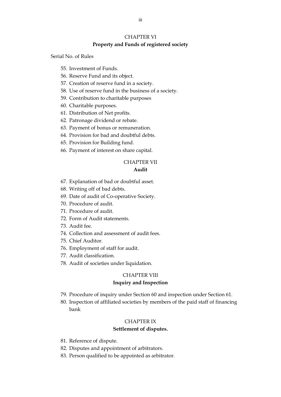#### CHAPTER VI

#### **Property and Funds of registered society**

Serial No. of Rules

- 55. Investment of Funds.
- 56. Reserve Fund and its object.
- 57. Creation of reserve fund in a society.
- 58. Use of reserve fund in the business of a society.
- 59. Contribution to charitable purposes
- 60. Charitable purposes.
- 61. Distribution of Net profits.
- 62. Patronage dividend or rebate.
- 63. Payment of bonus or remuneration.
- 64. Provision for bad and doubtful debts.
- 65. Provision for Building fund.
- 66. Payment of interest on share capital.

#### CHAPTER VII

#### **Audit**

- 67. Explanation of bad or doubtful asset.
- 68. Writing off of bad debts.
- 69. Date of audit of Co-operative Society.
- 70. Procedure of audit.
- 71. Procedure of audit.
- 72. Form of Audit statements.
- 73. Audit fee.
- 74. Collection and assessment of audit fees.
- 75. Chief Auditor.
- 76. Employment of staff for audit.
- 77. Audit classification.
- 78. Audit of societies under liquidation.

#### CHAPTER VIII

#### **Inquiry and Inspection**

- 79. Procedure of inquiry under Section 60 and inspection under Section 61.
- 80. Inspection of affiliated societies by members of the paid staff of financing bank

#### CHAPTER IX

#### **Settlement of disputes.**

- 81. Reference of dispute.
- 82. Disputes and appointment of arbitrators.
- 83. Person qualified to be appointed as arbitrator.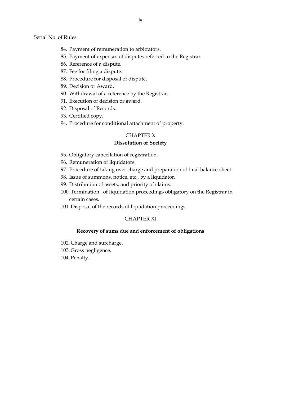Serial No. of Rules

- 84. Payment of remuneration to arbitrators.
- 85. Payment of expenses of disputes referred to the Registrar.
- 86. Reference of a dispute.
- 87. Fee for filing a dispute.
- 88. Procedure for disposal of dispute.
- 89. Decision or Award.
- 90. Withdrawal of a reference by the Registrar.
- 91. Execution of decision or award.
- 92. Disposal of Records.
- 93. Certified copy.
- 94. Procedure for conditional attachment of property.

#### CHAPTER X

#### **Dissolution of Society**

- 95. Obligatory cancellation of registration.
- 96. Remuneration of liquidators.
- 97. Procedure of taking over charge and preparation of final balance-sheet.
- 98. Issue of summons, notice, etc., by a liquidator.
- 99. Distribution of assets, and priority of claims.
- 100. Termination of liquidation proceedings obligatory on the Registrar in certain cases.
- 101. Disposal of the records of liquidation proceedings.

#### CHAPTER XI

#### **Recovery of sums due and enforcement of obligations**

- 102. Charge and surcharge.
- 103. Gross negligence.
- 104. Penalty.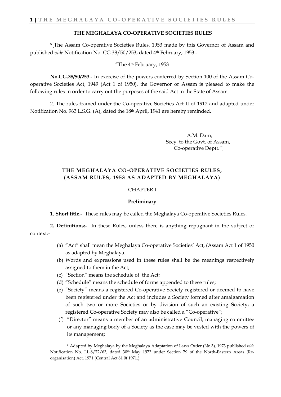#### **THE MEGHALAYA CO-OPERATIVE SOCIETIES RULES**

\*[The Assam Co-operative Societies Rules, 1953 made by this Governor of Assam and published *vide* Notification No. CG 38/50/253, dated 4th February, 1953:-

"The 4th February, 1953

**No.CG.38/50/253.-** In exercise of the powers conferred by Section 100 of the Assam Cooperative Societies Act, 1949 (Act 1 of 1950), the Governor or Assam is pleased to make the following rules in order to carry out the purposes of the said Act in the State of Assam.

2. The rules framed under the Co-operative Societies Act II of 1912 and adapted under Notification No. 963 L.S.G. (A), dated the 18th April, 1941 are hereby reminded.

> A.M. Dam, Secy, to the Govt. of Assam, Co-operative Deptt."]

# **THE MEGHALAYA CO-OPERATIVE SOCIETIES RULES, (ASSAM RULES, 1953 AS ADAPTED BY MEGHALAYA)**

#### CHAPTER I

#### **Preliminary**

**1. Short title.-** These rules may be called the Meghalaya Co-operative Societies Rules.

**2. Definitions:-** In these Rules, unless there is anything repugnant in the subject or context:-

- (a) "Act" shall mean the Meghalaya Co-operative Societies' Act, (Assam Act 1 of 1950 as adapted by Meghalaya.
- (b) Words and expressions used in these rules shall be the meanings respectively assigned to them in the Act;
- (c) "Section" means the schedule of the Act;
- (d) "Schedule" means the schedule of forms appended to these rules;
- (e) "Society" means a registered Co-operative Society registered or deemed to have been registered under the Act and includes a Society formed after amalgamation of such two or more Societies or by division of such an existing Society; a registered Co-operative Society may also be called a "Co-operative";
- (f) "Director" means a member of an administrative Council, managing committee or any managing body of a Society as the case may be vested with the powers of its management;

<sup>\*</sup> Adapted by Meghalaya by the Meghalaya Adaptation of Laws Order (No.3), 1973 published *vide* Notification No. LL.8/72/63, dated 30<sup>th</sup> May 1973 under Section 79 of the North-Eastern Areas (Reorganisation) Act, 1971 (Central Act 81 0f 1971.)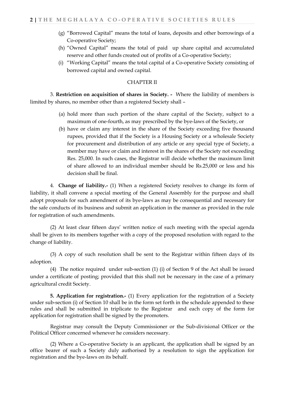- (g) "Borrowed Capital" means the total of loans, deposits and other borrowings of a Co-operative Society;
- (h) "Owned Capital" means the total of paid up share capital and accumulated reserve and other funds created out of profits of a Co-operative Society;
- (i) "Working Capital" means the total capital of a Co-operative Society consisting of borrowed capital and owned capital.

#### CHAPTER II

3. **Restriction on acquisition of shares in Society. -** Where the liability of members is limited by shares, no member other than a registered Society shall –

- (a) hold more than such portion of the share capital of the Society, subject to a maximum of one-fourth, as may prescribed by the bye-laws of the Society, or
- (b) have or claim any interest in the share of the Society exceeding five thousand rupees, provided that if the Society is a Housing Society or a wholesale Society for procurement and distribution of any article or any special type of Society, a member may have or claim and interest in the shares of the Society not exceeding Res. 25,000. In such cases, the Registrar will decide whether the maximum limit of share allowed to an individual member should be Rs.25,000 or less and his decision shall be final.

4. **Change of liability.-** (1) When a registered Society resolves to change its form of liability, it shall convene a special meeting of the General Assembly for the purpose and shall adopt proposals for such amendment of its bye-laws as may be consequential and necessary for the safe conducts of its business and submit an application in the manner as provided in the rule for registration of such amendments.

(2) At least clear fifteen days' written notice of such meeting with the special agenda shall be given to its members together with a copy of the proposed resolution with regard to the change of liability.

(3) A copy of such resolution shall be sent to the Registrar within fifteen days of its adoption.

(4) The notice required under sub-section (1) (i) of Section 9 of the Act shall be issued under a certificate of posting; provided that this shall not be necessary in the case of a primary agricultural credit Society.

**5. Application for registration.-** (1) Every application for the registration of a Society under sub-section (i) of Section 10 shall be in the form set forth in the schedule appended to these rules and shall be submitted in triplicate to the Registrar and each copy of the form for application for registration shall be signed by the promoters.

Registrar may consult the Deputy Commissioner or the Sub-divisional Officer or the Political Officer concerned whenever he considers necessary.

(2) Where a Co-operative Society is an applicant, the application shall be signed by an office bearer of such a Society duly authorised by a resolution to sign the application for registration and the bye-laws on its behalf.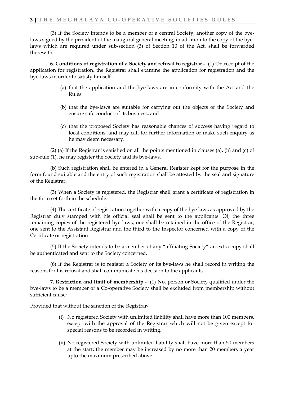(3) If the Society intends to be a member of a central Society, another copy of the byelaws signed by the president of the inaugural general meeting, in addition to the copy of the byelaws which are required under sub-section (3) of Section 10 of the Act, shall be forwarded therewith.

**6. Conditions of registration of a Society and refusal to registrar.-** (1) On receipt of the application for registration, the Registrar shall examine the application for registration and the bye-laws in order to satisfy himself –

- (a) that the application and the bye-laws are in conformity with the Act and the Rules.
- (b) that the bye-laws are suitable for carrying out the objects of the Society and ensure safe conduct of its business, and
- (c) that the proposed Society has reasonable chances of success having regard to local conditions, and may call for further information or make such enquiry as he may deem necessary.

(2) (a) If the Registrar is satisfied on all the points mentioned in clauses (a), (b) and (c) of sub-rule (1), he may register the Society and its bye-laws.

(b) Such registration shall be entered in a General Register kept for the purpose in the form found suitable and the entry of such registration shall be attested by the seal and signature of the Registrar.

(3) When a Society is registered, the Registrar shall grant a certificate of registration in the form set forth in the schedule.

(4) The certificate of registration together with a copy of the bye laws as approved by the Registrar duly stamped with his official seal shall be sent to the applicants. Of, the three remaining copies of the registered bye-laws, one shall be retained in the office of the Registrar, one sent to the Assistant Registrar and the third to the Inspector concerned with a copy of the Certificate or registration.

(5) If the Society intends to be a member of any "affiliating Society" an extra copy shall be authenticated and sent to the Society concerned.

(6) If the Registrar is to register a Society or its bye-laws he shall record in writing the reasons for his refusal and shall communicate his decision to the applicants.

**7. Restriction and limit of membership -** (1) No, person or Society qualified under the bye-laws to be a member of a Co-operative Society shall be excluded from membership without sufficient cause;

Provided that without the sanction of the Registrar-

- (i) No registered Society with unlimited liability shall have more than 100 members, except with the approval of the Registrar which will not be given except for special reasons to be recorded in writing.
- (ii) No registered Society with unlimited liability shall have more than 50 members at the start; the member may be increased by no more than 20 members a year upto the maximum prescribed above.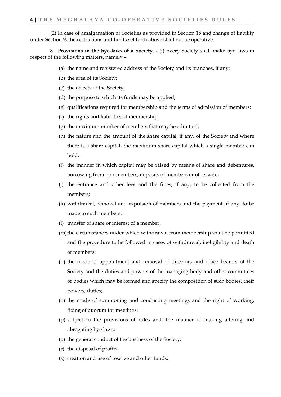(2) In case of amalgamation of Societies as provided in Section 15 and change of liability under Section 9, the restrictions and limits set forth above shall not be operative.

8. **Provisions in the bye-laws of a Society. -** (i) Every Society shall make bye laws in respect of the following matters, namely –

- (a) the name and registered address of the Society and its branches, if any;
- (b) the area of its Society;
- (c) the objects of the Society;
- (d) the purpose to which its funds may be applied;
- (e) qualifications required for membership and the terms of admission of members;
- (f) the rights and liabilities of membership;
- (g) the maximum number of members that may be admitted;
- (h) the nature and the amount of the share capital, if any, of the Society and where there is a share capital, the maximum share capital which a single member can hold;
- (i) the manner in which capital may be raised by means of share and debentures, borrowing from non-members, deposits of members or otherwise;
- (j) the entrance and other fees and the fines, if any, to be collected from the members;
- (k) withdrawal, removal and expulsion of members and the payment, if any, to be made to such members;
- (l) transfer of share or interest of a member;
- (m)the circumstances under which withdrawal from membership shall be permitted and the procedure to be followed in cases of withdrawal, ineligibility and death of members;
- (n) the mode of appointment and removal of directors and office bearers of the Society and the duties and powers of the managing body and other committees or bodies which may be formed and specify the composition of such bodies, their powers, duties;
- (o) the mode of summoning and conducting meetings and the right of working, fixing of quorum for meetings;
- (p) subject to the provisions of rules and, the manner of making altering and abrogating bye laws;
- (q) the general conduct of the business of the Society;
- (r) the disposal of profits;
- (s) creation and use of reserve and other funds;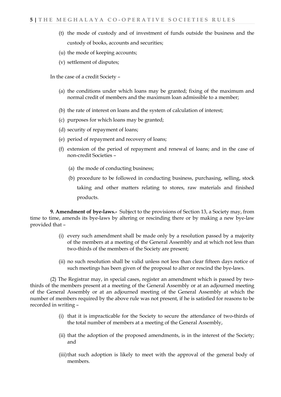- (t) the mode of custody and of investment of funds outside the business and the custody of books, accounts and securities;
- (u) the mode of keeping accounts;
- (v) settlement of disputes;

In the case of a credit Society –

- (a) the conditions under which loans may be granted; fixing of the maximum and normal credit of members and the maximum loan admissible to a member;
- (b) the rate of interest on loans and the system of calculation of interest;
- (c) purposes for which loans may be granted;
- (d) security of repayment of loans;
- (e) period of repayment and recovery of loans;
- (f) extension of the period of repayment and renewal of loans; and in the case of non-credit Societies –
	- (a) the mode of conducting business;
	- (b) procedure to be followed in conducting business, purchasing, selling, stock taking and other matters relating to stores, raw materials and finished products.

**9. Amendment of bye-laws.-** Subject to the provisions of Section 13, a Society may, from time to time, amends its bye-laws by altering or rescinding there or by making a new bye-law provided that –

- (i) every such amendment shall be made only by a resolution passed by a majority of the members at a meeting of the General Assembly and at which not less than two-thirds of the members of the Society are present;
- (ii) no such resolution shall be valid unless not less than clear fifteen days notice of such meetings has been given of the proposal to alter or rescind the bye-laws.

(2) The Registrar may, in special cases, register an amendment which is passed by twothirds of the members present at a meeting of the General Assembly or at an adjourned meeting of the General Assembly or at an adjourned meeting of the General Assembly at which the number of members required by the above rule was not present, if he is satisfied for reasons to be recorded in writing –

- (i) that it is impracticable for the Society to secure the attendance of two-thirds of the total number of members at a meeting of the General Assembly,
- (ii) that the adoption of the proposed amendments, is in the interest of the Society; and
- (iii)that such adoption is likely to meet with the approval of the general body of members.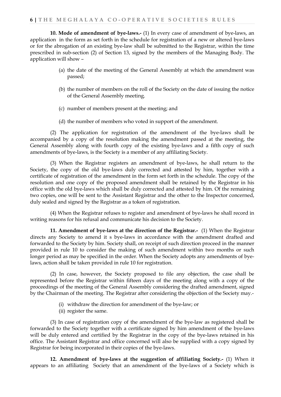**10. Mode of amendment of bye-laws.-** (1) In every case of amendment of bye-laws, an application in the form as set forth in the schedule for registration of a new or altered bye-laws or for the abrogation of an existing bye-law shall be submitted to the Registrar, within the time prescribed in sub-section (2) of Section 13, signed by the members of the Managing Body. The application will show –

- (a) the date of the meeting of the General Assembly at which the amendment was passed;
- (b) the number of members on the roll of the Society on the date of issuing the notice of the General Assembly meeting.
- (c) number of members present at the meeting; and
- (d) the number of members who voted in support of the amendment.

(2) The application for registration of the amendment of the bye-laws shall be accompanied by a copy of the resolution making the amendment passed at the meeting, the General Assembly along with fourth copy of the existing bye-laws and a fifth copy of such amendments of bye-laws, is the Society is a member of any affiliating Society.

(3) When the Registrar registers an amendment of bye-laws, he shall return to the Society, the copy of the old bye-laws duly corrected and attested by him, together with a certificate of registration of the amendment in the form set forth in the schedule. The copy of the resolution and one copy of the proposed amendment shall be retained by the Registrar in his office with the old bye-laws which shall be duly corrected and attested by him. Of the remaining two copies, one will be sent to the Assistant Registrar and the other to the Inspector concerned, duly sealed and signed by the Registrar as a token of registration.

(4) When the Registrar refuses to register and amendment of bye-laws he shall record in writing reasons for his refusal and communicate his decision to the Society.

**11. Amendment of bye-laws at the direction of the Registrar.-** (1) When the Registrar directs any Society to amend it s bye-laws in accordance with the amendment drafted and forwarded to the Society by him. Society shall, on receipt of such direction proceed in the manner provided in rule 10 to consider the making of such amendment within two months or such longer period as may be specified in the order. When the Society adopts any amendments of byelaws, action shall be taken provided in rule 10 for registration.

(2) In case, however, the Society proposed to file any objection, the case shall be represented before the Registrar within fifteen days of the meeting along with a copy of the proceedings of the meeting of the General Assembly considering the drafted amendment, signed by the Chairman of the meeting. The Registrar after considering the objection of the Society may.-

- (i) withdraw the direction for amendment of the bye-law; or
- (ii) register the same.

(3) In case of registration copy of the amendment of the bye-law as registered shall be forwarded to the Society together with a certificate signed by him amendment of the bye-laws will be duly entered and certified by the Registrar in the copy of the bye-laws retained in his office. The Assistant Registrar and office concerned will also be supplied with a copy signed by Registrar for being incorporated in their copies of the bye-laws.

**12. Amendment of bye-laws at the suggestion of affiliating Society.-** (1) When it appears to an affiliating Society that an amendment of the bye-laws of a Society which is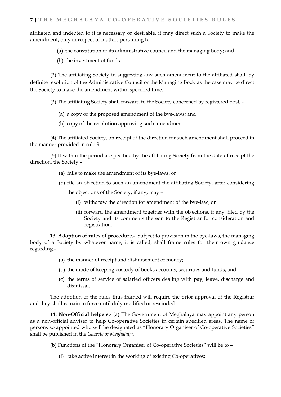affiliated and indebted to it is necessary or desirable, it may direct such a Society to make the amendment, only in respect of matters pertaining to –

- (a) the constitution of its administrative council and the managing body; and
- (b) the investment of funds.

(2) The affiliating Society in suggesting any such amendment to the affiliated shall, by definite resolution of the Administrative Council or the Managing Body as the case may be direct the Society to make the amendment within specified time.

(3) The affiliating Society shall forward to the Society concerned by registered post, -

- (a) a copy of the proposed amendment of the bye-laws; and
- (b) copy of the resolution approving such amendment.

(4) The affiliated Society, on receipt of the direction for such amendment shall proceed in the manner provided in rule 9.

(5) If within the period as specified by the affiliating Society from the date of receipt the direction, the Society –

- (a) fails to make the amendment of its bye-laws, or
- (b) file an objection to such an amendment the affiliating Society, after considering the objections of the Society, if any, may –
	- (i) withdraw the direction for amendment of the bye-law; or
	- (ii) forward the amendment together with the objections, if any, filed by the Society and its comments thereon to the Registrar for consideration and registration.

**13. Adoption of rules of procedure.-** Subject to provision in the bye-laws, the managing body of a Society by whatever name, it is called, shall frame rules for their own guidance regarding.-

- (a) the manner of receipt and disbursement of money;
- (b) the mode of keeping custody of books accounts, securities and funds, and
- (c) the terms of service of salaried officers dealing with pay, leave, discharge and dismissal.

The adoption of the rules thus framed will require the prior approval of the Registrar and they shall remain in force until duly modified or rescinded.

**14. Non-Official helpers.-** (a) The Government of Meghalaya may appoint any person as a non-official adviser to help Co-operative Societies in certain specified areas. The name of persons so appointed who will be designated as "Honorary Organiser of Co-operative Societies" shall be published in the *Gazette of Meghalaya.*

(b) Functions of the "Honorary Organiser of Co-operative Societies" will be to –

(i) take active interest in the working of existing Co-operatives;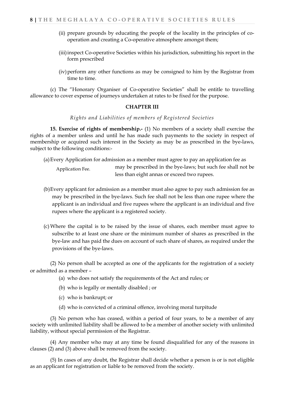- (ii) prepare grounds by educating the people of the locality in the principles of cooperation and creating a Co-operative atmosphere amongst them;
- (iii)inspect Co-operative Societies within his jurisdiction, submitting his report in the form prescribed
- (iv)perform any other functions as may be consigned to him by the Registrar from time to time.

(c) The "Honorary Organiser of Co-operative Societies" shall be entitle to travelling allowance to cover expense of journeys undertaken at rates to be fixed for the purpose.

#### **CHAPTER III**

*Rights and Liabilities of members of Registered Societies*

**15. Exercise of rights of membership.-** (1) No members of a society shall exercise the rights of a member unless and until he has made such payments to the society in respect of membership or acquired such interest in the Society as may be as prescribed in the bye-laws, subject to the following conditions:-

(a)Every Application for admission as a member must agree to pay an application fee as

may be prescribed in the bye-laws; but such fee shall not be less than eight annas or exceed two rupees. Application Fee.

- (b)Every applicant for admission as a member must also agree to pay such admission fee as may be prescribed in the bye-laws. Such fee shall not be less than one rupee where the applicant is an individual and five rupees where the applicant is an individual and five rupees where the applicant is a registered society.
- (c) Where the capital is to be raised by the issue of shares, each member must agree to subscribe to at least one share or the minimum number of shares as prescribed in the bye-law and has paid the dues on account of such share of shares, as required under the provisions of the bye-laws.

(2) No person shall be accepted as one of the applicants for the registration of a society or admitted as a member –

- (a) who does not satisfy the requirements of the Act and rules; or
- (b) who is legally or mentally disabled ; or
- (c) who is bankrupt; or
- (d) who is convicted of a criminal offence, involving moral turpitude

(3) No person who has ceased, within a period of four years, to be a member of any society with unlimited liability shall be allowed to be a member of another society with unlimited liability, without special permission of the Registrar.

(4) Any member who may at any time be found disqualified for any of the reasons in clauses (2) and (3) above shall be removed from the society.

(5) In cases of any doubt, the Registrar shall decide whether a person is or is not eligible as an applicant for registration or liable to be removed from the society.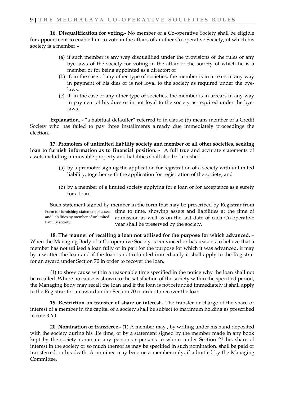**16. Disqualification for voting.**- No member of a Co-operative Society shall be eligible for appointment to enable him to vote in the affairs of another Co-operative Society, of which his society is a member –

- (a) if such member is any way disqualified under the provisions of the rules or any bye-laws of the society for voting in the affair of the society of which he is a member or for being appointed as a director; or
- (b) if, in the case of any other type of societies, the member is in arrears in any way in payment of his dies or is not loyal to the society as required under the byelaws.
- (c) if, in the case of any other type of societies, the member is in arrears in any way in payment of his dues or in not loyal to the society as required under the byelaws.

**Explanation. -** "a habitual defaulter" referred to in clause (b) means member of a Credit Society who has failed to pay three installments already due immediately proceedings the election.

**17. Promoters of unlimited liability society and member of all other societies, seeking loan to furnish information as to financial position. -** A full true and accurate statements of assets including immovable property and liabilities shall also be furnished –

- (a) by a promoter signing the application for registration of a society with unlimited liability, together with the application for registration of the society; and
- (b) by a member of a limited society applying for a loan or for acceptance as a surety for a loan.

Such statement signed by member in the form that may be prescribed by Registrar from Form for furnishing statement of assets time to time, showing assets and liabilities at the time of admission as well as on the last date of each Co-operative year shall be preserved by the society. and liabilities by member of unlimited liability society.

**18. The manner of recalling a loan not utilised for the purpose for which advanced.** – When the Managing Body of a Co-operative Society is convinced or has reasons to believe that a member has not utilised a loan fully or in part for the purpose for which it was advanced, it may by a written the loan and if the loan is not refunded immediately it shall apply to the Registrar for an award under Section 70 in order to recover the loan.

(1) to show cause within a reasonable time specified in the notice why the loan shall not be recalled. Where no cause is shown to the satisfaction of the society within the specified period, the Managing Body may recall the loan and if the loan is not refunded immediately it shall apply to the Registrar for an award under Section 70 in order to recover the loan.

**19. Restriction on transfer of share or interest.-** The transfer or charge of the share or interest of a member in the capital of a society shall be subject to maximum holding as prescribed in rule *3 (b).*

**20. Nomination of transferee.-** (1) A member may , by writing under his hand deposited with the society during his life time, or by a statement signed by the member made in any book kept by the society nominate any person or persons to whom under Section 23 his share of interest in the society or so much thereof as may be specified in such nomination, shall be paid or transferred on his death. A nominee may become a member only, if admitted by the Managing Committee.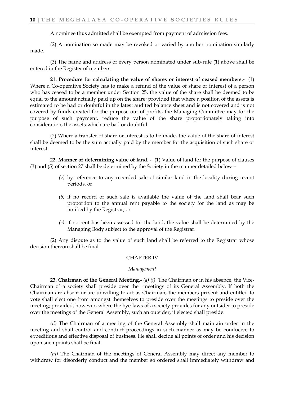A nominee thus admitted shall be exempted from payment of admission fees.

(2) A nomination so made may be revoked or varied by another nomination similarly made.

(3) The name and address of every person nominated under sub-rule (1) above shall be entered in the Register of members.

**21. Procedure for calculating the value of shares or interest of ceased members.-** (1) Where a Co-operative Society has to make a refund of the value of share or interest of a person who has ceased to be a member under Section 25, the value of the share shall be deemed to be equal to the amount actually paid up on the share; provided that where a position of the assets is estimated to be had or doubtful in the latest audited balance sheet and is not covered and is not covered by funds created for the purpose out of profits, the Managing Committee may for the purpose of such payment, reduce the value of the share proportionately taking into consideration, the assets which are bad or doubtful.

(2) Where a transfer of share or interest is to be made, the value of the share of interest shall be deemed to be the sum actually paid by the member for the acquisition of such share or interest.

**22. Manner of determining value of land. -** (1) Value of land for the purpose of clauses (3) and (5) of section 27 shall be determined by the Society in the manner detailed below –

- *(a)* by reference to any recorded sale of similar land in the locality during recent periods, or
- *(b)* if no record of such sale is available the value of the land shall bear such proportion to the annual rent payable to the society for the land as may be notified by the Registrar; or
- *(c)* if no rent has been assessed for the land, the value shall be determined by the Managing Body subject to the approval of the Registrar.

(2) Any dispute as to the value of such land shall be referred to the Registrar whose decision thereon shall be final.

#### CHAPTER IV

#### *Management*

**23. Chairman of the General Meeting.-** *(a) (i)* The Chairman or in his absence, the Vice-Chairman of a society shall preside over the meetings of its General Assembly. If both the Chairman are absent or are unwilling to act as Chairman, the members present and entitled to vote shall elect one from amongst themselves to preside over the meetings to preside over the meeting; provided, however, where the bye-laws of a society provides for any outsider to preside over the meetings of the General Assembly, such an outsider, if elected shall preside.

*(ii)* The Chairman of a meeting of the General Assembly shall maintain order in the meeting and shall control and conduct proceedings in such manner as may be conducive to expeditious and effective disposal of business. He shall decide all points of order and his decision upon such points shall be final.

*(iii)* The Chairman of the meetings of General Assembly may direct any member to withdraw for disorderly conduct and the member so ordered shall immediately withdraw and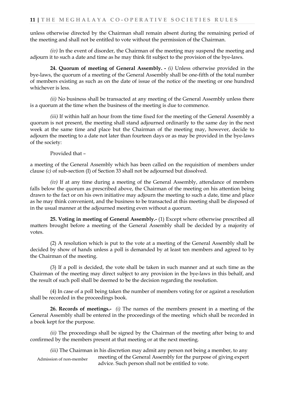unless otherwise directed by the Chairman shall remain absent during the remaining period of the meeting and shall not be entitled to vote without the permission of the Chairman.

*(iv)* In the event of disorder, the Chairman of the meeting may suspend the meeting and adjourn it to such a date and time as he may think fit subject to the provision of the bye-laws.

**24. Quorum of meeting of General Assembly. -** *(i)* Unless otherwise provided in the bye-laws, the quorum of a meeting of the General Assembly shall be one-fifth of the total number of members existing as such as on the date of issue of the notice of the meeting or one hundred whichever is less.

*(ii)* No business shall be transacted at any meeting of the General Assembly unless there is a quorum at the time when the business of the meeting is due to commence.

*(iii)* If within half an hour from the time fixed for the meeting of the General Assembly a quorum is not present, the meeting shall stand adjourned ordinarily to the same day in the next week at the same time and place but the Chairman of the meeting may, however, decide to adjourn the meeting to a date not later than fourteen days or as may be provided in the bye-laws of the society:

Provided that –

a meeting of the General Assembly which has been called on the requisition of members under clause *(c)* of sub-section (I) of Section 33 shall not be adjourned but dissolved.

*(iv)* If at any time during a meeting of the General Assembly, attendance of members falls below the quorum as prescribed above, the Chairman of the meeting on his attention being drawn to the fact or on his own initiative may adjourn the meeting to such a date, time and place as he may think convenient, and the business to be transacted at this meeting shall be disposed of in the usual manner at the adjourned meeting even without a quorum.

**25. Voting in meeting of General Assembly.-** (1) Except where otherwise prescribed all matters brought before a meeting of the General Assembly shall be decided by a majority of votes.

(2) A resolution which is put to the vote at a meeting of the General Assembly shall be decided by show of hands unless a poll is demanded by at least ten members and agreed to by the Chairman of the meeting.

(3) If a poll is decided, the vote shall be taken in such manner and at such time as the Chairman of the meeting may direct subject to any provision in the bye-laws in this behalf, and the result of such poll shall be deemed to be the decision regarding the resolution.

(4) In case of a poll being taken the number of members voting for or against a resolution shall be recorded in the proceedings book.

**26. Records of meetings.-** *(i)* The names of the members present in a meeting of the General Assembly shall be entered in the proceedings of the meeting which shall be recorded in a book kept for the purpose.

*(ii)* The proceedings shall be signed by the Chairman of the meeting after being to and confirmed by the members present at that meeting or at the next meeting.

*(iii)* The Chairman in his discretion may admit any person not being a member, to any meeting of the General Assembly for the purpose of giving expert advice. Such person shall not be entitled to vote. Admission of non-member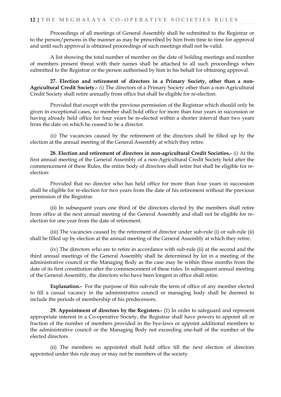Proceedings of all meetings of General Assembly shall be submitted to the Registrar or to the person/persons in the manner as may be prescribed by him from time to time for approval and until such approval is obtained proceedings of such meetings shall not be valid.

A list showing the total number of member on the date of holding meetings and number of members present threat with their names shall be attached to all such proceedings when submitted to the Registrar or the person authorised by him in his behalf for obtaining approval.

**27. Election and retirement of directors in a Primary Society, other than a non-Agricultural Credit Society.-** *(i)* The directors of a Primary Society other than a non-Agricultural Credit Society shall retire annually from office but shall be eligible for re-election.

Provided that except with the previous permission of the Registrar which should only be given in exceptional cases, no member shall hold office for more than four years in succession or having already held office for four years be re-elected within a shorter interval than two years from the date on which he ceased to be a director.

*(ii)* The vacancies caused by the retirement of the directors shall be filled up by the election at the annual meeting of the General Assembly at which they retire.

**28. Election and retirement of directors in non-agricultural Credit Societies.-** *(i)* At the first annual meeting of the General Assembly of a non-Agricultural Credit Society held after the commencement of these Rules, the entire body of directors shall retire but shall be eligible for reelection:

Provided that no director who has held office for more than four years in succession shall be eligible for re-election for two years from the date of his retirement without the previous permission of the Registrar.

(ii) In subsequent years one third of the directors elected by the members shall retire from office at the next annual meeting of the General Assembly and shall not be eligible for reelection for one year from the date of retirement.

(iii) The vacancies caused by the retirement of director under sub-rule (i) or sub-rule (ii) shall be filled up by election at the annual meeting of the General Assembly at which they retire.

(iv) The directors who are to retire in accordance with sub-rule (ii) at the second and the third annual meetings of the General Assembly shall be determined by lot in a meeting of the administrative council or the Managing Body as the case may be within three months from the date of its first constitution after the commencement of these rules. In subsequent annual meeting of the General Assembly, the directors who have been longest in office shall retire.

**Explanation.-** For the purpose of this sub-rule the term of office of any member elected to fill a casual vacancy in the administrative council or managing body shall be deemed to include the periods of membership of his predecessors.

**29. Appointment of directors by the Registers.-** (1) In order to safeguard and represent appropriate interest in a Co-operative Society, the Registrar shall have powers to appoint all or fraction of the number of members provided in the bye-laws or appoint additional members to the administrative council or the Managing Body not exceeding one-half of the number of the elected directors.

(ii) The members so appointed shall hold office till the next election of directors appointed under this rule may or may not be members of the society.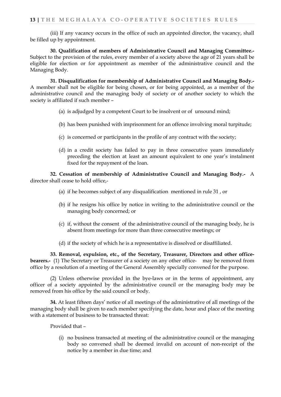(iii) If any vacancy occurs in the office of such an appointed director, the vacancy, shall be filled up by appointment.

**30. Qualification of members of Administrative Council and Managing Committee.-** Subject to the provision of the rules, every member of a society above the age of 21 years shall be eligible for election or for appointment as member of the administrative council and the Managing Body.

**31. Disqualification for membership of Administrative Council and Managing Body.-** A member shall not be eligible for being chosen, or for being appointed, as a member of the administrative council and the managing body of society or of another society to which the society is affiliated if such member –

- (a) is adjudged by a competent Court to be insolvent or of unsound mind;
- (b) has been punished with imprisonment for an offence involving moral turpitude;
- (c) is concerned or participants in the profile of any contract with the society;
- (d) in a credit society has failed to pay in three consecutive years immediately preceding the election at least an amount equivalent to one year's instalment fixed for the repayment of the loan.

**32. Cessation of membership of Administrative Council and Managing Body.-** A director shall cease to hold office,-

- (a) if he becomes subject of any disqualification mentioned in rule 31 , or
- (b) if he resigns his office by notice in writing to the administrative council or the managing body concerned; or
- (c) if, without the consent of the administrative council of the managing body, he is absent from meetings for more than three consecutive meetings; or
- (d) if the society of which he is a representative is dissolved or disaffiliated.

**33. Removal, expulsion, etc., of the Secretary, Treasurer, Directors and other officebearers.-** (1) The Secretary or Treasurer of a society on any other office- may be removed from office by a resolution of a meeting of the General Assembly specially convened for the purpose.

(2) Unless otherwise provided in the bye-laws or in the terms of appointment, any officer of a society appointed by the administrative council or the managing body may be removed from his office by the said council or body.

**34.** At least fifteen days' notice of all meetings of the administrative of all meetings of the managing body shall be given to each member specifying the date, hour and place of the meeting with a statement of business to be transacted threat:

Provided that –

(i) no business transacted at meeting of the administrative council or the managing body so convened shall be deemed invalid on account of non-receipt of the notice by a member in due time; and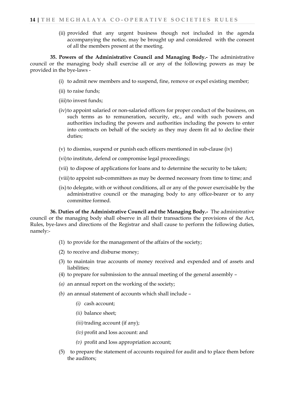(ii) provided that any urgent business though not included in the agenda accompanying the notice, may be brought up and considered with the consent of all the members present at the meeting.

**35. Powers of the Administrative Council and Managing Body.-** The administrative council or the managing body shall exercise all or any of the following powers as may be provided in the bye-laws -

- (i) to admit new members and to suspend, fine, remove or expel existing member;
- (ii) to raise funds;
- (iii) to invest funds;
- (iv)to appoint salaried or non-salaried officers for proper conduct of the business, on such terms as to remuneration, security, etc., and with such powers and authorities including the powers and authorities including the powers to enter into contracts on behalf of the society as they may deem fit ad to decline their duties;
- (v) to dismiss, suspend or punish each officers mentioned in sub-clause (iv)
- (vi) to institute, defend or compromise legal proceedings;
- (vii) to dispose of applications for loans and to determine the security to be taken;
- (viii) to appoint sub-committees as may be deemed necessary from time to time; and
- $(ix)$  to delegate, with or without conditions, all or any of the power exercisable by the administrative council or the managing body to any office-bearer or to any committee formed.

**36. Duties of the Administrative Council and the Managing Body.-** The administrative council or the managing body shall observe in all their transactions the provisions of the Act, Rules, bye-laws and directions of the Registrar and shall cause to perform the following duties, namely:-

- (1) to provide for the management of the affairs of the society;
- (2) to receive and disburse money;
- (3) to maintain true accounts of money received and expended and of assets and liabilities;
- (4) to prepare for submission to the annual meeting of the general assembly –
- *(a)* an annual report on the working of the society;
- *(b)* an annual statement of accounts which shall include
	- *(i)* cash account;
	- *(ii)* balance sheet;
	- *(iii)* trading account *(if any)*;
	- *(iv)* profit and loss account: and
	- *(v)* profit and loss appropriation account;
- (5) to prepare the statement of accounts required for audit and to place them before the auditors;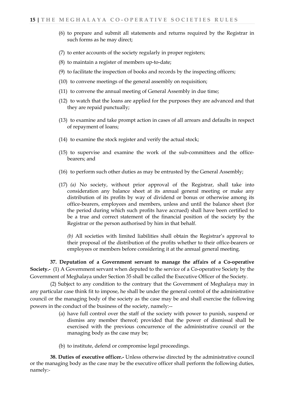- (6) to prepare and submit all statements and returns required by the Registrar in such forms as he may direct;
- (7) to enter accounts of the society regularly in proper registers;
- (8) to maintain a register of members up-to-date;
- (9) to facilitate the inspection of books and records by the inspecting officers;
- (10) to convene meetings of the general assembly on requisition;
- (11) to convene the annual meeting of General Assembly in due time;
- (12) to watch that the loans are applied for the purposes they are advanced and that they are repaid punctually;
- (13) to examine and take prompt action in cases of all arrears and defaults in respect of repayment of loans;
- (14) to examine the stock register and verify the actual stock;
- (15) to supervise and examine the work of the sub-committees and the officebearers; and
- (16) to perform such other duties as may be entrusted by the General Assembly;
- (17) *(a)* No society, without prior approval of the Registrar, shall take into consideration any balance sheet at its annual general meeting or make any distribution of its profits by way of dividend or bonus or otherwise among its office-bearers, employees and members, unless and until the balance sheet (for the period during which such profits have accrued) shall have been certified to be a true and correct statement of the financial position of the society by the Registrar or the person authorised by him in that behalf.

*(b)* All societies with limited liabilities shall obtain the Registrar's approval to their proposal of the distribution of the profits whether to their office-bearers or employees or members before considering it at the annual general meeting.

**37. Deputation of a Government servant to manage the affairs of a Co-operative Society.-** (1) A Government servant when deputed to the service of a Co-operative Society by the Government of Meghalaya under Section 35 shall be called the Executive Officer of the Society.

(2) Subject to any condition to the contrary that the Government of Meghalaya may in any particular case think fit to impose, he shall be under the general control of the administrative council or the managing body of the society as the case may be and shall exercise the following powers in the conduct of the business of the society, namely:--

- (a) have full control over the staff of the society with power to punish, suspend or dismiss any member thereof; provided that the power of dismissal shall be exercised with the previous concurrence of the administrative council or the managing body as the case may be;
- (b) to institute, defend or compromise legal proceedings.

**38. Duties of executive officer.-** Unless otherwise directed by the administrative council or the managing body as the case may be the executive officer shall perform the following duties, namely:-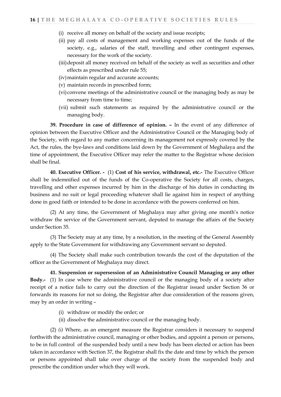- (i) receive all money on behalf of the society and issue receipts;
- (ii) pay all costs of management and working expenses out of the funds of the society, e.g., salaries of the staff, travelling and other contingent expenses, necessary for the work of the society.
- (iii)deposit all money received on behalf of the society as well as securities and other effects as prescribed under rule 55;
- (iv)maintain regular and accurate accounts;
- (v) maintain records in prescribed form;
- (vi)convene meetings of the administrative council or the managing body as may be necessary from time to time;
- (vii) submit such statements as required by the administrative council or the managing body.

**39. Procedure in case of difference of opinion. –** In the event of any difference of opinion between the Executive Officer and the Administrative Council or the Managing body of the Society, with regard to any matter concerning its management not expressly covered by the Act, the rules, the bye-laws and conditions laid down by the Government of Meghalaya and the time of appointment, the Executive Officer may refer the matter to the Registrar whose decision shall be final.

**40. Executive Officer. -** (1) **Cost of his service, withdrawal, etc.-** The Executive Officer shall be indemnified out of the funds of the Co-operative the Society for all costs, charges, travelling and other expenses incurred by him in the discharge of his duties in conducting its business and no suit or legal proceeding whatever shall lie against him in respect of anything done in good faith or intended to be done in accordance with the powers conferred on him.

(2) At any time, the Government of Meghalaya may after giving one month's notice withdraw the service of the Government servant, deputed to manage the affairs of the Society under Section 35.

(3) The Society may at any time, by a resolution, in the meeting of the General Assembly apply to the State Government for withdrawing any Government servant so deputed.

(4) The Society shall make such contribution towards the cost of the deputation of the officer as the Government of Meghalaya may direct.

**41. Suspension or supersession of an Administrative Council Managing or any other Body.-** (1) In case where the administrative council or the managing body of a society after receipt of a notice fails to carry out the direction of the Registrar issued under Section 36 or forwards its reasons for not so doing, the Registrar after due consideration of the reasons given, may by an order in writing –

- (i) withdraw or modify the order; or
- (ii) dissolve the administrative council or the managing body.

(2) *(i)* Where, as an emergent measure the Registrar considers it necessary to suspend forthwith the administrative council, managing or other bodies, and appoint a person or persons, to be in full control of the suspended body until a new body has been elected or action has been taken in accordance with Section 37, the Registrar shall fix the date and time by which the person or persons appointed shall take over charge of the society from the suspended body and prescribe the condition under which they will work.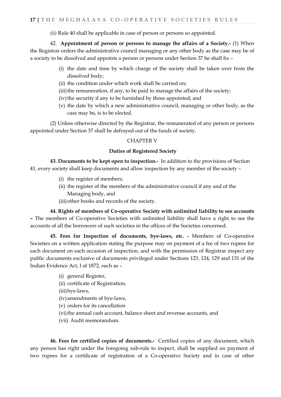*(ii)* Rule 40 shall be applicable in case of person or persons so appointed.

42. **Appointment of person or persons to manage the affairs of a Society.-** (1) When the Registrar orders the administrative council managing or any other body as the case may be of a society to be dissolved and appoints a person or persons under Section 37 he shall fix –

- (i) the date and time by which charge of the society shall be taken over from the dissolved body;
- (ii) the condition under which work shall be carried on;
- (iii) the remuneration, if any, to be paid to manage the affairs of the society;
- (iv) the security if any to be furnished by those appointed; and
- (v) the date by which a new administrative council, managing or other body, as the case may be, is to be elected.

(2) Unless otherwise directed by the Registrar, the remunerated of any person or persons appointed under Section 37 shall be defrayed out of the funds of society.

#### CHAPTER V

#### **Duties of Registered Society**

**43. Documents to be kept open to inspection.-** In addition to the provisions of Section 41, every society shall keep documents and allow inspection by any member of the society –

- (i) the register of members;
- (ii) the register of the members of the administrative council if any and of the Managing body, and
- (iii)other books and records of the society.

**44. Rights of members of Co-operative Society with unlimited liability to see accounts –** The members of Co-operative Societies with unlimited liability shall have a right to see the accounts of all the borrowers of such societies in the offices of the Societies concerned.

**45. Fees for Inspection of documents, bye-laws, etc. -** Members of Co-operative Societies on a written application stating the purpose may on payment of a fee of two rupees for each document on each occasion of inspection, and with the permission of Registrar inspect any public documents exclusive of documents privileged under Sections 123, 124, 129 and 131 of the Indian Evidence Act, I of 1872, such as –

- (i) general Register,
- (ii) certificate of Registration,
- (iii)bye-laws,
- (iv)amendments of bye-laws,
- (v) orders for its cancellation
- (vi) the annual cash account, balance sheet and revenue accounts, and
- (vii) Audit memorandum.

**46. Fees for certified copies of documents.-** Certified copies of any document, which any person has right under the foregoing sub-rule to inspect, shall be supplied on payment of two rupees for a certificate of registration of a Co-operative Society and in case of other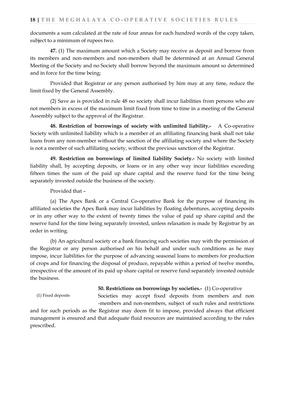documents a sum calculated at the rate of four annas for each hundred words of the copy taken, subject to a minimum of rupees two.

**47.** (1) The maximum amount which a Society may receive as deposit and borrow from its members and non-members and non-members shall be determined at an Annual General Meeting of the Society and no Society shall borrow beyond the maximum amount so determined and in force for the time being;

Provided that Registrar or any person authorised by him may at any time, reduce the limit fixed by the General Assembly.

(2) Save as is provided in rule 48 no society shall incur liabilities from persons who are not members in excess of the maximum limit fixed from time to time in a meeting of the General Assembly subject to the approval of the Registrar.

**48. Restriction of borrowings of society with unlimited liability.-** A Co-operative Society with unlimited liability which is a member of an affiliating financing bank shall not take loans from any non-member without the sanction of the affiliating society and where the Society is not a member of such affiliating society, without the previous sanction of the Registrar.

**49. Restriction on borrowings of limited liability Society.-** No society with limited liability shall, by accepting deposits, or loans or in any other way incur liabilities exceeding fifteen times the sum of the paid up share capital and the reserve fund for the time being separately invested outside the business of the society.

Provided that –

(a) The Apex Bank or a Central Co-operative Bank for the purpose of financing its affiliated societies the Apex Bank may incur liabilities by floating debentures, accepting deposits or in any other way to the extent of twenty times the value of paid up share capital and the reserve fund for the time being separately invested, unless relaxation is made by Registrar by an order in writing.

(b) An agricultural society or a bank financing such societies may with the permission of the Registrar or any person authorised on his behalf and under such conditions as he may impose, incur liabilities for the purpose of advancing seasonal loans to members for production of crops and for financing the disposal of produce, repayable within a period of twelve months, irrespective of the amount of its paid up share capital or reserve fund separately invested outside the business.

**50. Restrictions on borrowings by societies.-** (1) Co-operative

(1) Fixed deposits

Societies may accept fixed deposits from members and non -members and non-members, subject of such rules and restrictions

and for such periods as the Registrar may deem fit to impose, provided always that efficient management is ensured and that adequate fluid resources are maintained according to the rules prescribed.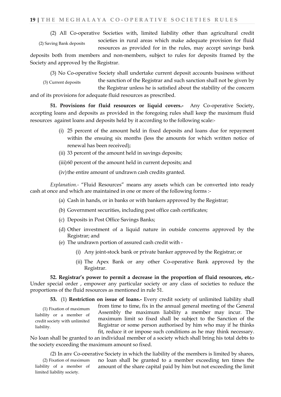(2) All Co-operative Societies with, limited liability other than agricultural credit

societies in rural areas which make adequate provision for fluid (2) Saving Bank deposits

resources as provided for in the rules, may accept savings bank deposits both from members and non-members, subject to rules for deposits framed by the Society and approved by the Registrar.

(3) No Co-operative Society shall undertake current deposit accounts business without

the sanction of the Registrar and such sanction shall not be given by the Registrar unless he is satisfied about the stability of the concern and of its provisions for adequate fluid resources as prescribed. (3) Current deposits

**51. Provisions for fluid resources or liquid covers.-** Any Co-operative Society, accepting loans and deposits as provided in the foregoing rules shall keep the maximum fluid resources against loans and deposits held by it according to the following scale:-

- (i) 25 percent of the amount held in fixed deposits and loans due for repayment within the ensuing six months (less the amounts for which written notice of renewal has been received);
- (ii) 33 percent of the amount held in savings deposits;
- (iii)60 percent of the amount held in current deposits; and
- (iv) the entire amount of undrawn cash credits granted.

*Explanation.-* "Fluid Resources" means any assets which can be converted into ready cash at once and which are maintained in one or more of the following forms :-

- (a) Cash in hands, or in banks or with bankers approved by the Registrar;
- (b) Government securities, including post office cash certificates;
- (c) Deposits in Post Office Savings Banks;

liability.

- (d) Other investment of a liquid nature in outside concerns approved by the Registrar; and
- (e) The undrawn portion of assured cash credit with
	- (i) Any joint-stock bank or private banker approved by the Registrar; or
	- (ii) The Apex Bank or any other Co-operative Bank approved by the Registrar.

**52. Registrar's power to permit a decrease in the proportion of fluid resources, etc.-** Under special order , empower any particular society or any class of societies to reduce the proportions of the fluid resources as mentioned in rule 51.

**53.** (1) **Restriction on issue of loans.-** Every credit society of unlimited liability shall from time to time, fix in the annual general meeting of the General Assembly the maximum liability a member may incur. The maximum limit so fixed shall be subject to the Sanction of the Registrar or some person authorised by him who may if he thinks (1) Fixation of maximum liability or a member of credit society with unlimited

fit, reduce it or impose such conditions as he may think necessary. No loan shall be granted to an individual member of a society which shall bring his total debts to the society exceeding the maximum amount so fixed.

(2) In any Co-operative Society in which the liability of the members is limited by shares, no loan shall be granted to a member exceeding ten times the amount of the share capital paid by him but not exceeding the limit (2) Fixation of maximum liability of a member of limited liability society.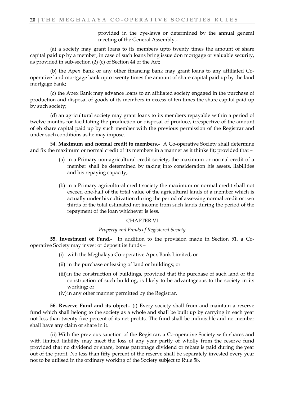provided in the bye-laws or determined by the annual general meeting of the General Assembly.-

(a) a society may grant loans to its members upto twenty times the amount of share capital paid up by a member, in case of such loans bring issue don mortgage or valuable security, as provided in sub-section (2) (c) of Section 44 of the Act;

(b) the Apex Bank or any other financing bank may grant loans to any affiliated Cooperative land mortgage bank upto twenty times the amount of share capital paid up by the land mortgage bank;

(c) the Apex Bank may advance loans to an affiliated society engaged in the purchase of production and disposal of goods of its members in excess of ten times the share capital paid up by such society;

(d) an agricultural society may grant loans to its members repayable within a period of twelve months for facilitating the production or disposal of produce, irrespective of the amount of eh share capital paid up by such member with the previous permission of the Registrar and under such conditions as he may impose.

54. **Maximum and normal credit to members.-** A Co-operative Society shall determine and fix the maximum or normal credit of its members in a manner as it thinks fit; provided that –

- (a) in a Primary non-agricultural credit society, the maximum or normal credit of a member shall be determined by taking into consideration his assets, liabilities and his repaying capacity;
- (b) in a Primary agricultural credit society the maximum or normal credit shall not exceed one-half of the total value of the agricultural lands of a member which is actually under his cultivation during the period of assessing normal credit or two thirds of the total estimated net income from such lands during the period of the repayment of the loan whichever is less.

#### CHAPTER VI

#### *Property and Funds of Registered Society*

**55. Investment of Fund.-** In addition to the provision made in Section 51, a Cooperative Society may invest or deposit its funds –

- (i) with the Meghalaya Co-operative Apex Bank Limited, or
- (ii) in the purchase or leasing of land or buildings; or
- (iii)in the construction of buildings, provided that the purchase of such land or the construction of such building, is likely to be advantageous to the society in its working; or
- (iv)in any other manner permitted by the Registrar.

**56. Reserve Fund and its object.-** (i) Every society shall from and maintain a reserve fund which shall belong to the society as a whole and shall be built up by carrying in each year not less than twenty five percent of its net profits. The fund shall be indivisible and no member shall have any claim or share in it.

(ii) With the previous sanction of the Registrar, a Co-operative Society with shares and with limited liability may meet the loss of any year partly of wholly from the reserve fund provided that no dividend or share, bonus patronage dividend or rebate is paid during the year out of the profit. No less than fifty percent of the reserve shall be separately invested every year not to be utilised in the ordinary working of the Society subject to Rule 58.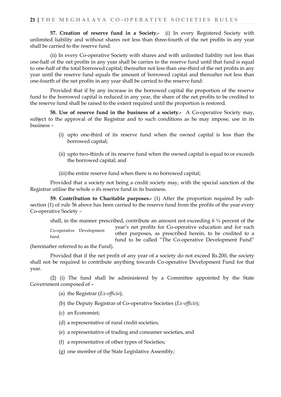**57. Creation of reserve fund in a Society.-** (i) In every Registered Society with unlimited liability and without shares not less than three-fourth of the net profits in any year shall be carried to the reserve fund.

(ii) In every Co-operative Society with shares and with unlimited liability not less than one-half of the net profits in any year shall be carries to the reserve fund until that fund is equal to one-half of the total borrowed capital; thereafter not less than one-third of the net profits in any year until the reserve fund equals the amount of borrowed capital and thereafter not less than one-fourth of the net profits in any year shall be carried to the reserve fund:

Provided that if by any increase in the borrowed capital the proportion of the reserve fund to the borrowed capital is reduced in any year, the share of the net profits to be credited to the reserve fund shall be raised to the extent required until the proportion is restored.

**58. Use of reserve fund in the business of a society.-** A Co-operative Society may, subject to the approval of the Registrar and to such conditions as he may impose, use in its business –

- (i) upto one-third of its reserve fund when the owned capital is less than the borrowed capital;
- (ii) upto two-thirds of its reserve fund when the owned capital is equal to or exceeds the borrowed capital; and
- (iii) the entire reserve fund when there is no borrowed capital;

Provided that a society not being a credit society may, with the special sanction of the Registrar utilise the whole o ifs reserve fund in its business.

**59. Contribution to Charitable purposes.-** (1) After the proportion required by subsection (1) of rule 56 above has been carried to the reserve fund from the profits of the year every Co-operative Society –

shall, in the manner prescribed, contribute an amount not exceeding  $6\frac{1}{4}$  percent of the year's net profits for Co-operative education and for such other purposes, as prescribed herein, to be credited to a fund to be called "The Co-operative Development Fund" Co-operative Development fund.

(hereinafter referred to as the Fund).

Provided that if the net profit of any year of a society do not exceed Rs.200, the society shall not be required to contribute anything towards Co-operative Development Fund for that year.

(2) (i) The fund shall be administered by a Committee appointed by the State Government composed of –

- (a) the Registrar (*Ex-officio*);
- (b) the Deputy Registrar of Co-operative Societies (*Ex-officio*);
- (c) an Economist;
- (d) a representative of rural credit societies;
- (e) a representative of trading and consumer societies, and
- (f) a representative of other types of Societies;
- (g) one member of the State Legislative Assembly;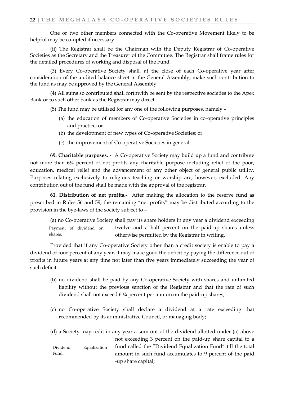One or two other members connected with the Co-operative Movement likely to be helpful may be co-opted if necessary.

(ii) The Registrar shall be the Chairman with the Deputy Registrar of Co-operative Societies as the Secretary and the Treasurer of the Committee. The Registrar shall frame rules for the detailed procedures of working and disposal of the Fund.

(3) Every Co-operative Society shall, at the close of each Co-operative year after consideration of the audited balance sheet in the General Assembly, make such contribution to the fund as may be approved by the General Assembly.

(4) All sums so contributed shall forthwith be sent by the respective societies to the Apex Bank or to such other bank as the Registrar may direct.

(5) The fund may be utilised for any one of the following purposes, namely –

- (a) the education of members of Co-operative Societies in co-operative principles and practice; or
- (b) the development of new types of Co-operative Societies; or
- (c) the improvement of Co-operative Societies in general.

**69. Charitable purposes. -** A Co-operative Society may build up a fund and contribute not more than 6¼ percent of not profits any charitable purpose including relief of the poor, education, medical relief and the advancement of any other object of general public utility. Purposes relating exclusively to religious teaching or worship are, however, excluded. Any contribution out of the fund shall be made with the approval of the registrar.

**61. Distribution of net profits.-** After making the allocation to the reserve fund as prescribed in Rules 56 and 59, the remaining "net profits" may be distributed according to the provision in the bye-laws of the society subject to –

(a) no Co-operative Society shall pay its share holders in any year a dividend exceeding twelve and a half percent on the paid-up shares unless otherwise permitted by the Registrar in writing. Payment of dividend on shares.

Provided that if any Co-operative Society other than a credit society is enable to pay a dividend of four percent of any year, it may make good the deficit by paying the difference out of profits in future years at any time not later than five years immediately succeeding the year of such deficit:-

- (b) no dividend shall be paid by any Co-operative Society with shares and unlimited liability without the previous sanction of the Registrar and that the rate of such dividend shall not exceed 6 ¼ percent per annum on the paid-up shares;
- (c) no Co-operative Society shall declare a dividend at a rate exceeding that recommended by its administrative Council, or managing body;

|          |              | (d) a Society may redit in any year a sum out of the dividend allotted under (a) above |
|----------|--------------|----------------------------------------------------------------------------------------|
|          |              | not exceeding 3 percent on the paid-up share capital to a                              |
| Dividend | Equalization | fund called the "Dividend Equalization Fund" till the total                            |
| Fund.    |              | amount in such fund accumulates to 9 percent of the paid                               |
|          |              | -up share capital;                                                                     |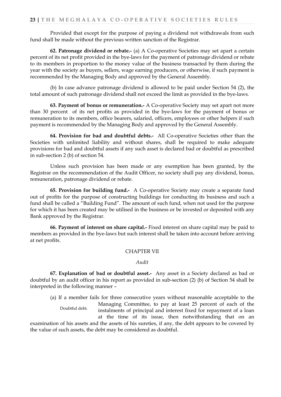Provided that except for the purpose of paying a dividend not withdrawals from such fund shall be made without the previous written sanction of the Registrar.

**62. Patronage dividend or rebate.-** (a) A Co-operative Societies may set apart a certain percent of its net profit provided in the bye-laws for the payment of patronage dividend or rebate to its members in proportion to the money value of the business transacted by them during the year with the society as buyers, sellers, wage earning producers, or otherwise, if such payment is recommended by the Managing Body and approved by the General Assembly.

(b) In case advance patronage dividend is allowed to be paid under Section 54 (2), the total amount of such patronage dividend shall not exceed the limit as provided in the bye-laws.

**63. Payment of bonus or remuneration.-** A Co-operative Society may set apart not more than 30 percent of its net profits as provided in the bye-laws for the payment of bonus or remuneration to its members, office bearers, salaried, officers, employees or other helpers if such payment is recommended by the Managing Body and approved by the General Assembly.

**64. Provision for bad and doubtful debts.-** All Co-operative Societies other than the Societies with unlimited liability and without shares, shall be required to make adequate provisions for bad and doubtful assets if any such asset is declared bad or doubtful as prescribed in sub-section 2 (b) of section 54.

Unless such provision has been made or any exemption has been granted, by the Registrar on the recommendation of the Audit Officer, no society shall pay any dividend, bonus, remuneration, patronage dividend or rebate.

**65. Provision for building fund.-** A Co-operative Society may create a separate fund out of profits for the purpose of constructing buildings for conducting its business and such a fund shall be called a "Building Fund". The amount of such fund, when not used for the purpose for which it has been created may be utilised in the business or be invested or deposited with any Bank approved by the Registrar.

**66. Payment of interest on share capital.-** Fixed interest on share capital may be paid to members as provided in the bye-laws but such interest shall be taken into account before arriving at net profits.

#### CHAPTER VII

#### *Audit*

**67. Explanation of bad or doubtful asset.-** Any asset in a Society declared as bad or doubtful by an audit officer in his report as provided in sub-section (2) (b) of Section 54 shall be interpreted in the following manner –

(a) If a member fails for three consecutive years without reasonable acceptable to the Managing Committee, to pay at least 25 percent of each of the instalments of principal and interest fixed for repayment of a loan at the time of its issue, then notwithstanding that on an examination of his assets and the assets of his sureties, if any, the debt appears to be covered by the value of such assets, the debt may be considered as doubtful. Doubtful debt.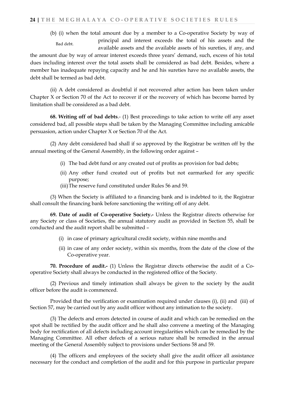(b) (i) when the total amount due by a member to a Co-operative Society by way of principal and interest exceeds the total of his assets and the available assets and the available assets of his sureties, if any, and Bad debt.

the amount due by way of arrear interest exceeds three years' demand, such, excess of his total dues including interest over the total assets shall be considered as bad debt. Besides, where a member has inadequate repaying capacity and he and his sureties have no available assets, the debt shall be termed as bad debt.

(ii) A debt considered as doubtful if not recovered after action has been taken under Chapter X or Section 70 of the Act to recover if or the recovery of which has become barred by limitation shall be considered as a bad debt.

**68. Writing off of bad debts**.- (1) Best proceedings to take action to write off any asset considered bad, all possible steps shall be taken by the Managing Committee including amicable persuasion, action under Chapter X or Section 70 of the Act.

(2) Any debt considered bad shall if so approved by the Registrar be written off by the annual meeting of the General Assembly, in the following order against –

- (i) The bad debt fund or any created out of profits as provision for bad debts;
- (ii) Any other fund created out of profits but not earmarked for any specific purpose;
- (iii)The reserve fund constituted under Rules 56 and 59.

(3) When the Society is affiliated to a financing bank and is indebted to it, the Registrar shall consult the financing bank before sanctioning the writing off of any debt.

**69. Date of audit of Co-operative Society.-** Unless the Registrar directs otherwise for any Society or class of Societies, the annual statutory audit as provided in Section 55, shall be conducted and the audit report shall be submitted –

- (i) in case of primary agricultural credit society, within nine months and
- (ii) in case of any order society, within six months, from the date of the close of the Co-operative year.

**70. Procedure of audit.-** (1) Unless the Registrar directs otherwise the audit of a Cooperative Society shall always be conducted in the registered office of the Society.

(2) Previous and timely intimation shall always be given to the society by the audit officer before the audit is commenced.

Provided that the verification or examination required under clauses (i), (ii) and (iii) of Section 57, may be carried out by any audit officer without any intimation to the society.

(3) The defects and errors detected in course of audit and which can be remedied on the spot shall be rectified by the audit officer and he shall also convene a meeting of the Managing body for rectification of all defects including account irregularities which can be remedied by the Managing Committee. All other defects of a serious nature shall be remedied in the annual meeting of the General Assembly subject to provisions under Sections 58 and 59.

(4) The officers and employees of the society shall give the audit officer all assistance necessary for the conduct and completion of the audit and for this purpose in particular prepare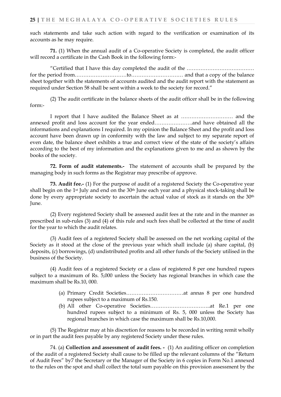such statements and take such action with regard to the verification or examination of its accounts as he may require.

**71.** (1) When the annual audit of a Co-operative Society is completed, the audit officer will record a certificate in the Cash Book in the following form:-

"Certified that I have this day completed the audit of the ………………………………… for the period from…………………………to………………………… and that a copy of the balance sheet together with the statements of accounts audited and the audit report with the statement as required under Section 58 shall be sent within a week to the society for record."

(2) The audit certificate in the balance sheets of the audit officer shall be in the following form:-

I report that I have audited the Balance Sheet as at ………………………… and the annexed profit and loss account for the year ended………………….and have obtained all the informations and explanations I required. In my opinion the Balance Sheet and the profit and loss account have been drawn up in conformity with the law and subject to my separate report of even date, the balance sheet exhibits a true and correct view of the state of the society's affairs according to the best of my information and the explanations given to me and as shown by the books of the society.

**72. Form of audit statements.-** The statement of accounts shall be prepared by the managing body in such forms as the Registrar may prescribe of approve.

**73. Audit fee.-** (1) For the purpose of audit of a registered Society the Co-operative year shall begin on the 1<sup>st</sup> July and end on the 30<sup>th</sup> June each year and a physical stock-taking shall be done by every appropriate society to ascertain the actual value of stock as it stands on the 30th June.

(2) Every registered Society shall be assessed audit fees at the rate and in the manner as prescribed in sub-rules (3) and (4) of this rule and such fees shall be collected at the time of audit for the year to which the audit relates.

(3) Audit fees of a registered Society shall be assessed on the net working capital of the Society as it stood at the close of the previous year which shall include (a) share capital, (b) deposits, (c) borrowings, (d) undistributed profits and all other funds of the Society utilised in the business of the Society.

(4) Audit fees of a registered Society or a class of registered 8 per one hundred rupees subject to a maximum of Rs. 5,000 unless the Society has regional branches in which case the maximum shall be Rs.10, 000.

- (a) Primary Credit Societies……………………………at annas 8 per one hundred rupees subject to a maximum of Rs.150.
- (b) All other Co-operative Societies……………………………..at Re.1 per one hundred rupees subject to a minimum of Rs. 5, 000 unless the Society has regional branches in which case the maximum shall be Rs.10,000.

(5) The Registrar may at his discretion for reasons to be recorded in writing remit wholly or in part the audit fees payable by any registered Society under these rules.

74. (a) **Collection and assessment of audit fees. -** (1) An auditing officer on completion of the audit of a registered Society shall cause to be filled up the relevant columns of the "Return of Audit Fees" by7 the Secretary or the Manager of the Society in 6 copies in Form No.1 annexed to the rules on the spot and shall collect the total sum payable on this provision assessment by the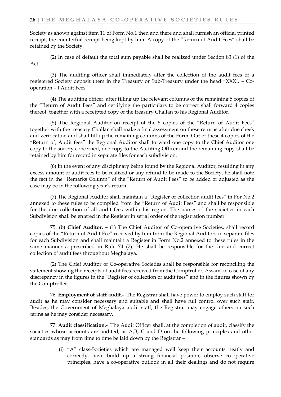Society as shown against item 11 of Form No.1 then and there and shall furnish an official printed receipt, the counterfoil receipt being kept by him. A copy of the "Return of Audit Fees" shall be retained by the Society.

(2) In case of default the total sum payable shall be realized under Section 83 (1) of the Act.

(3) The auditing officer shall immediately after the collection of the audit fees of a registered Society deposit them in the Treasury or Sub-Treasury under the head "XXXI. – Cooperation – I Audit Fees"

(4) The auditing officer, after filling up the relevant columns of the remaining 5 copies of the "Return of Audit Fees" and certifying the particulars to be correct shall forward 4 copies thereof, together with a receipted copy of the treasury Challan to his Regional Auditor.

(5) The Regional Auditor on receipt of the 5 copies of the "Return of Audit Fees" together with the treasury Challan shall make a final assessment on these returns after due cheek and verification and shall fill up the remaining columns of the Form. Out of these 4 copies of the "Return of, Audit fees" the Regional Auditor shall forward one copy to the Chief Auditor one copy to the society concerned, one copy to the Auditing Officer and the remaining copy shall be retained by him for record in separate files for each subdivision.

(6) In the event of any disciplinary being found by the Regional Auditor, resulting in any excess amount of audit fees to be realized or any refund to be made to the Society, he shall note the fact in the "Remarks Column" of the "Return of Audit Fees" to be added or adjusted as the case may be in the following year's return.

(7) The Regional Auditor shall maintain a "Register of collection audit fees" in For No.2 annexed to these rules to be compiled from the "Return of Audit Fees" and shall be responsible for the due collection of all audit fees within his region. The names of the societies in each Subdivision shall be entered in the Register in serial order of the registration number.

75. (b) **Chief Auditor. –** (1) The Chief Auditor of Co-operative Societies, shall record copies of the "Return of Audit Fee" received by him from the Regional Auditors in separate files for each Subdivision and shall maintain a Register in Form No.2 annexed to these rules in the same manner a prescribed in Rule 74 (7). He shall be responsible for the due and correct collection of audit fees throughout Meghalaya.

(2) The Chief Auditor of Co-operative Societies shall be responsible for reconciling the statement showing the receipts of audit fees received from the Comptroller, Assam, in case of any discrepancy in the figures in the "Register of collection of audit fees" and in the figures shown by the Comptroller.

76. **Employment of staff audit.-** The Registrar shall have power to employ such staff for audit as he may consider necessary and suitable and shall have full control over such staff. Besides, the Government of Meghalaya audit staff, the Registrar may engage others on such terms as he may consider necessary.

77. **Audit classification.-** The Audit Officer shall, at the completion of audit, classify the societies whose accounts are audited, as A,B, C and D on the following principles and other standards as may from time to time be laid down by the Registrar –

> (i) "A" class-Societies which are managed well keep their accounts neatly and correctly, have build up a strong financial position, observe co-operative principles, have a co-operative outlook in all their dealings and do not require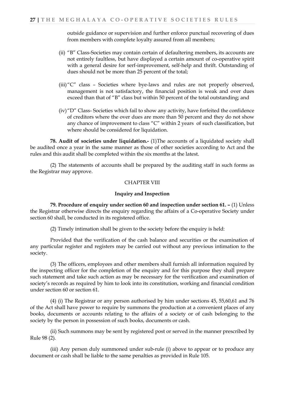outside guidance or supervision and further enforce punctual recovering of dues from members with complete loyalty assured from all members;

- (ii) "B" Class-Societies may contain certain of defaultering members, its accounts are not entirely faultless, but have displayed a certain amount of co-operative spirit with a general desire for serf-improvement, self-help and thrift. Outstanding of dues should not be more than 25 percent of the total;
- (iii)"C" class Societies where bye-laws and rules are not properly observed, management is not satisfactory, the financial position is weak and over dues exceed than that of "B" class but within 50 percent of the total outstanding; and
- (iv)"D" Class- Societies which fail to show any activity, have forfeited the confidence of creditors where the over dues are more than 50 percent and they do not show any chance of improvement to class "C" within 2 years of such classification, but where should be considered for liquidation.

**78. Audit of societies under liquidation.-** (1)The accounts of a liquidated society shall be audited once a year in the same manner as those of other societies according to Act and the rules and this audit shall be completed within the six months at the latest.

(2) The statements of accounts shall be prepared by the auditing staff in such forms as the Registrar may approve.

#### CHAPTER VIII

#### **Inquiry and Inspection**

**79. Procedure of enquiry under section 60 and inspection under section 61. –** (1) Unless the Registrar otherwise directs the enquiry regarding the affairs of a Co-operative Society under section 60 shall, be conducted in its registered office.

(2) Timely intimation shall be given to the society before the enquiry is held:

Provided that the verification of the cash balance and securities or the examination of any particular register and registers may be carried out without any previous intimation to the society.

(3) The officers, employees and other members shall furnish all information required by the inspecting officer for the completion of the enquiry and for this purpose they shall prepare such statement and take such action as may be necessary for the verification and examination of society's records as required by him to look into its constitution, working and financial condition under section 60 or section 61.

(4) (i) The Registrar or any person authorised by him under sections 45, 55,60,61 and 76 of the Act shall have power to require by summons the production at a convenient places of any books, documents or accounts relating to the affairs of a society or of cash belonging to the society by the person in possession of such books, documents or cash.

(ii) Such summons may be sent by registered post or served in the manner prescribed by Rule 98 (2).

(iii) Any person duly summoned under sub-rule (i) above to appear or to produce any document or cash shall be liable to the same penalties as provided in Rule 105.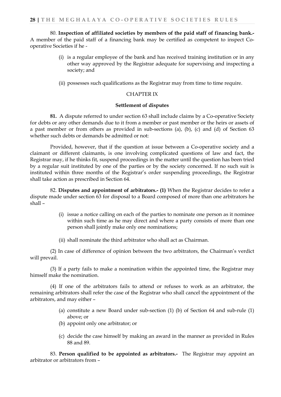80. **Inspection of affiliated societies by members of the paid staff of financing bank.-** A member of the paid staff of a financing bank may be certified as competent to inspect Cooperative Societies if he -

- (i) is a regular employee of the bank and has received training institution or in any other way approved by the Registrar adequate for supervising and inspecting a society; and
- (ii) possesses such qualifications as the Registrar may from time to time require.

#### CHAPTER IX

#### **Settlement of disputes**

**81.** A dispute referred to under section 63 shall include claims by a Co-operative Society for debts or any other demands due to it from a member or past member or the heirs or assets of a past member or from others as provided in sub-sections (a), (b), (c) and (d) of Section 63 whether such debts or demands be admitted or not:

Provided, however, that if the question at issue between a Co-operative society and a claimant or different claimants, is one involving complicated questions of law and fact, the Registrar may, if he thinks fit, suspend proceedings in the matter until the question has been tried by a regular suit instituted by one of the parties or by the society concerned. If no such suit is instituted within three months of the Registrar's order suspending proceedings, the Registrar shall take action as prescribed in Section 64.

82. **Disputes and appointment of arbitrators.- (1)** When the Registrar decides to refer a dispute made under section 63 for disposal to a Board composed of more than one arbitrators he shall –

- (i) issue a notice calling on each of the parties to nominate one person as it nominee within such time as he may direct and where a party consists of more than one person shall jointly make only one nominations;
- (ii) shall nominate the third arbitrator who shall act as Chairman.

(2) In case of difference of opinion between the two arbitrators, the Chairman's verdict will prevail.

(3) If a party fails to make a nomination within the appointed time, the Registrar may himself make the nomination.

(4) If one of the arbitrators fails to attend or refuses to work as an arbitrator, the remaining arbitrators shall refer the case of the Registrar who shall cancel the appointment of the arbitrators, and may either –

- (a) constitute a new Board under sub-section (1) (b) of Section 64 and sub-rule (1) above; or
- (b) appoint only one arbitrator; or
- (c) decide the case himself by making an award in the manner as provided in Rules 88 and 89.

83. **Person qualified to be appointed as arbitrators.-** The Registrar may appoint an arbitrator or arbitrators from –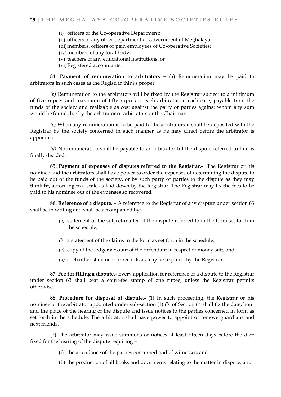- (i) officers of the Co-operative Department;
- (ii) officers of any other department of Government of Meghalaya;
- (iii) members, officers or paid employees of Co-operative Societies;
- (iv)members of any local body;
- (v) teachers of any educational institutions; or
- (vi)Registered accountants.

84. **Payment of remuneration to arbitrators –** (a) Remuneration may be paid to arbitrators in such cases as the Registrar thinks proper.

*(b)* Remuneration to the arbitrators will be fixed by the Registrar subject to a minimum of five rupees and maximum of fifty rupees to each arbitrator in each case, payable from the funds of the society and realizable as cost against the party or parties against whom any sum would be found due by the arbitrator or arbitrators or the Chairman.

*(c)* When any remuneration is to be paid to the arbitrators it shall be deposited with the Registrar by the society concerned in such manner as he may direct before the arbitrator is appointed.

*(d)* No remuneration shall be payable to an arbitrator till the dispute referred to him is finally decided.

**85. Payment of expenses of disputes referred to the Registrar.-** The Registrar or his nominee and the arbitrators shall have power to order the expenses of determining the dispute to be paid out of the funds of the society, or by such party or parties to the dispute as they may think fit, according to a scale as laid down by the Registrar. The Registrar may fix the fees to be paid to his nominee out of the expenses so recovered.

**86. Reference of a dispute. –** A reference to the Registrar of any dispute under section 63 shall be in writing and shall be accompanied by:-

- *(a)* statement of the subject-matter of the dispute referred to in the form set forth in the schedule;
- *(b)* a statement of the claims in the form as set forth in the schedule;
- *(c)* copy of the ledger account of the defendant in respect of money suit; and
- *(d)* such other statement or records as may be required by the Registrar.

**87**. **Fee for filling a dispute.-** Every application for reference of a dispute to the Registrar under section 63 shall bear a court-fee stamp of one rupee, unless the Registrar permits otherwise.

**88. Procedure for disposal of dispute.-** (1) In such proceeding, the Registrar or his nominee or the arbitrator appointed under sub-section (1) *(b)* of Section 64 shall fix the date, hour and the place of the hearing of the dispute and issue notices to the parties concerned in form as set forth in the schedule. The arbitrator shall have power to appoint or remove guardians and next friends.

(2) The arbitrator may issue summons or notices at least fifteen days before the date fixed for the hearing of the dispute requiring –

- (i) the attendance of the parties concerned and of witnesses; and
- (ii) the production of all books and documents relating to the matter in dispute; and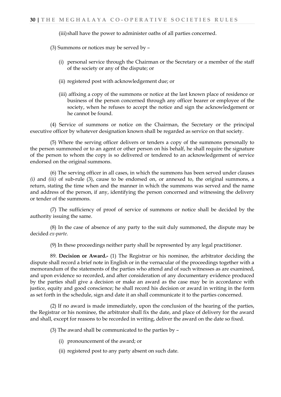(iii)shall have the power to administer oaths of all parties concerned.

(3) Summons or notices may be served by –

- (i) personal service through the Chairman or the Secretary or a member of the staff of the society or any of the dispute; or
- (ii) registered post with acknowledgement due; or
- (iii) affixing a copy of the summons or notice at the last known place of residence or business of the person concerned through any officer bearer or employee of the society, when he refuses to accept the notice and sign the acknowledgement or he cannot be found.

(4) Service of summons or notice on the Chairman, the Secretary or the principal executive officer by whatever designation known shall be regarded as service on that society.

(5) Where the serving officer delivers or tenders a copy of the summons personally to the person summoned or to an agent or other person on his behalf, he shall require the signature of the person to whom the copy is so delivered or tendered to an acknowledgement of service endorsed on the original summons.

(6) The serving officer in all cases, in which the summons has been served under clauses *(i)* and *(iii)* of sub-rule (3), cause to be endorsed on, or annexed to, the original summons, a return, stating the time when and the manner in which the summons was served and the name and address of the person, if any, identifying the person concerned and witnessing the delivery or tender of the summons.

(7) The sufficiency of proof of service of summons or notice shall be decided by the authority issuing the same.

(8) In the case of absence of any party to the suit duly summoned, the dispute may be decided *ex-parte.*

(9) In these proceedings neither party shall be represented by any legal practitioner.

89. **Decision or Award.-** (1) The Registrar or his nominee, the arbitrator deciding the dispute shall record a brief note in English or in the vernacular of the proceedings together with a memorandum of the statements of the parties who attend and of such witnesses as are examined, and upon evidence so recorded, and after consideration of any documentary evidence produced by the parties shall give a decision or make an award as the case may be in accordance with justice, equity and good conscience; he shall record his decision or award in writing in the form as set forth in the schedule, sign and date it an shall communicate it to the parties concerned.

(2) If no award is made immediately, upon the conclusion of the hearing of the parties, the Registrar or his nominee, the arbitrator shall fix the date, and place of delivery for the award and shall, except for reasons to be recorded in writing, deliver the award on the date so fixed.

(3) The award shall be communicated to the parties by –

- (i) pronouncement of the award; or
- (ii) registered post to any party absent on such date.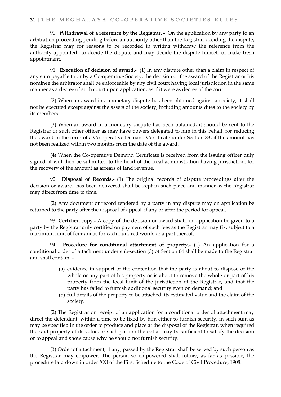90. **Withdrawal of a reference by the Registrar. -** On the application by any party to an arbitration proceeding pending before an authority other than the Registrar deciding the dispute, the Registrar may for reasons to be recorded in writing withdraw the reference from the authority appointed to decide the dispute and may decide the dispute himself or make fresh appointment.

91. **Execution of decision of award.-** (1) In any dispute other than a claim in respect of any sum payable to or by a Co-operative Society, the decision or the award of the Registrar or his nominee the arbitrator shall be enforceable by any civil court having local jurisdiction in the same manner as a decree of such court upon application, as if it were as decree of the court.

(2) When an award in a monetary dispute has been obtained against a society, it shall not be executed except against the assets of the society, including amounts dues to the society by its members.

(3) When an award in a monetary dispute has been obtained, it should be sent to the Registrar or such other officer as may have powers delegated to him in this behalf, for reducing the award in the form of a Co-operative Demand Certificate under Section 83, if the amount has not been realized within two months from the date of the award.

(4) When the Co-operative Demand Certificate is received from the issuing officer duly signed, it will then be submitted to the head of the local administration having jurisdiction, for the recovery of the amount as arrears of land revenue.

92. **Disposal of Records.-** (1) The original records of dispute proceedings after the decision or award has been delivered shall be kept in such place and manner as the Registrar may direct from time to time.

(2) Any document or record tendered by a party in any dispute may on application be returned to the party after the disposal of appeal, if any or after the period for appeal.

93. **Certified copy.-** A copy of the decision or award shall, on application be given to a party by the Registrar duly certified on payment of such fees as the Registrar may fix, subject to a maximum limit of four annas for each hundred words or a part thereof.

94. **Procedure for conditional attachment of property.-** (1) An application for a conditional order of attachment under sub-section (3) of Section 64 shall be made to the Registrar and shall contain. –

- (a) evidence in support of the contention that the party is about to dispose of the whole or any part of his property or is about to remove the whole or part of his property from the local limit of the jurisdiction of the Registrar, and that the party has failed to furnish additional security even on demand; and
- (b) full details of the property to be attached, its estimated value and the claim of the society.

(2) The Registrar on receipt of an application for a conditional order of attachment may direct the defendant, within a time to be fixed by him either to furnish security, in such sum as may be specified in the order to produce and place at the disposal of the Registrar, when required the said property of its value, or such portion thereof as may be sufficient to satisfy the decision or to appeal and show cause why he should not furnish security.

(3) Order of attachment, if any, passed by the Registrar shall be served by such person as the Registrar may empower. The person so empowered shall follow, as far as possible, the procedure laid down in order XXI of the First Schedule to the Code of Civil Procedure, 1908.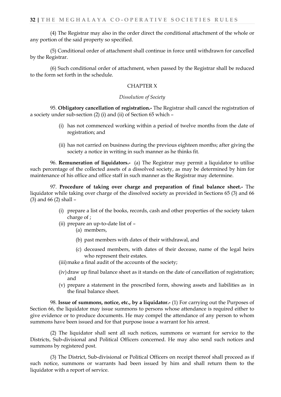(4) The Registrar may also in the order direct the conditional attachment of the whole or any portion of the said property so specified.

(5) Conditional order of attachment shall continue in force until withdrawn for cancelled by the Registrar.

(6) Such conditional order of attachment, when passed by the Registrar shall be reduced to the form set forth in the schedule.

#### CHAPTER X

#### *Dissolution of Society*

95. **Obligatory cancellation of registration.-** The Registrar shall cancel the registration of a society under sub-section (2) (i) and (ii) of Section 65 which –

- (i) has not commenced working within a period of twelve months from the date of registration; and
- (ii) has not carried on business during the previous eighteen months; after giving the society a notice in writing in such manner as he thinks fit.

96. **Remuneration of liquidators.-** (a) The Registrar may permit a liquidator to utilise such percentage of the collected assets of a dissolved society, as may be determined by him for maintenance of his office and office staff in such manner as the Registrar may determine.

97. **Procedure of taking over charge and preparation of final balance sheet.-** The liquidator while taking over charge of the dissolved society as provided in Sections 65 (3) and 66 (3) and 66 (2) shall –

- (i) prepare a list of the books, records, cash and other properties of the society taken charge of ;
- (ii) prepare an up-to-date list of
	- (a) members,
	- (b) past members with dates of their withdrawal, and
	- (c) deceased members, with dates of their decease, name of the legal heirs who represent their estates.
- (iii) make a final audit of the accounts of the society;
- (iv)draw up final balance sheet as it stands on the date of cancellation of registration; and
- (v) prepare a statement in the prescribed form, showing assets and liabilities as in the final balance sheet.

98. **Issue of summons, notice, etc., by a liquidator.-** (1) For carrying out the Purposes of Section 66, the liquidator may issue summons to persons whose attendance is required either to give evidence or to produce documents. He may compel the attendance of any person to whom summons have been issued and for that purpose issue a warrant for his arrest.

(2) The liquidator shall sent all such notices, summons or warrant for service to the Districts, Sub-divisional and Political Officers concerned. He may also send such notices and summons by registered post.

(3) The District, Sub-divisional or Political Officers on receipt thereof shall proceed as if such notice, summons or warrants had been issued by him and shall return them to the liquidator with a report of service.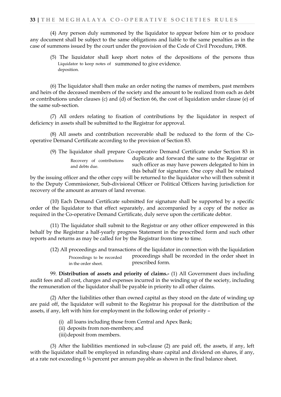(4) Any person duly summoned by the liquidator to appear before him or to produce any document shall be subject to the same obligations and liable to the same penalties as in the case of summons issued by the court under the provision of the Code of Civil Procedure, 1908.

(5) The liquidator shall keep short notes of the depositions of the persons thus Liquidator to keep notes of summoned to give evidence. deposition.

(6) The liquidator shall then make an order noting the names of members, past members and heirs of the deceased members of the society and the amount to be realized from each as debt or contributions under clauses (c) and (d) of Section 66, the cost of liquidation under clause (e) of the same sub-section.

(7) All orders relating to fixation of contributions by the liquidator in respect of deficiency in assets shall be submitted to the Registrar for approval.

(8) All assets and contribution recoverable shall be reduced to the form of the Cooperative Demand Certificate according to the provision of Section 83.

(9) The liquidator shall prepare Co-operative Demand Certificate under Section 83 in duplicate and forward the same to the Registrar or such officer as may have powers delegated to him in this behalf for signature. One copy shall be retained Recovery of contributions and debts due.

by the issuing officer and the other copy will be returned to the liquidator who will then submit it to the Deputy Commissioner, Sub-divisional Officer or Political Officers having jurisdiction for recovery of the amount as arrears of land revenue.

(10) Each Demand Certificate submitted for signature shall be supported by a specific order of the liquidator to that effect separately, and accompanied by a copy of the notice as required in the Co-operative Demand Certificate, duly serve upon the certificate debtor.

(11) The liquidator shall submit to the Registrar or any other officer empowered in this behalf by the Registrar a half-yearly progress Statement in the prescribed form and such other reports and returns as may be called for by the Registrar from time to time.

(12) All proceedings and transactions of the liquidator in connection with the liquidation proceedings shall be recorded in the order sheet in prescribed form. Proceedings to be recorded in the order sheet.

99. **Distribution of assets and priority of claims.-** (1) All Government dues including audit fees and all cost, charges and expenses incurred in the winding up of the society, including the remuneration of the liquidator shall be payable in priority to all other claims.

(2) After the liabilities other than owned capital as they stood on the date of winding up are paid off, the liquidator will submit to the Registrar his proposal for the distribution of the assets, if any, left with him for employment in the following order of priority –

- (i) all loans including those from Central and Apex Bank;
- (ii) deposits from non-members; and
- (iii)deposit from members.

(3) After the liabilities mentioned in sub-clause (2) are paid off, the assets, if any, left with the liquidator shall be employed in refunding share capital and dividend on shares, if any, at a rate not exceeding  $6\frac{1}{4}$  percent per annum payable as shown in the final balance sheet.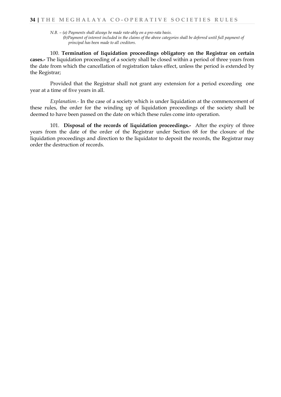*N.B. – (a) Payments shall always be made rate-ably on a pro-rata basis.*

 *(b)Payment of interest included in the claims of the above categories shall be deferred until full payment of principal has been made to all creditors.*

100. **Termination of liquidation proceedings obligatory on the Registrar on certain cases.-** The liquidation proceeding of a society shall be closed within a period of three years from the date from which the cancellation of registration takes effect, unless the period is extended by the Registrar;

Provided that the Registrar shall not grant any extension for a period exceeding one year at a time of five years in all.

*Explanation.-* In the case of a society which is under liquidation at the commencement of these rules, the order for the winding up of liquidation proceedings of the society shall be deemed to have been passed on the date on which these rules come into operation.

101. **Disposal of the records of liquidation proceedings.-** After the expiry of three years from the date of the order of the Registrar under Section 68 for the closure of the liquidation proceedings and direction to the liquidator to deposit the records, the Registrar may order the destruction of records.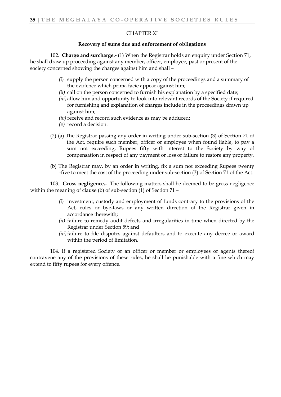#### CHAPTER XI

#### **Recovery of sums due and enforcement of obligations**

102. **Charge and surcharge.-** (1) When the Registrar holds an enquiry under Section 71, he shall draw up proceeding against any member, officer, employee, past or present of the society concerned showing the charges against him and shall –

- *(i)* supply the person concerned with a copy of the proceedings and a summary of the evidence which prima facie appear against him;
- *(ii)* call on the person concerned to furnish his explanation by a specified date;
- *(iii)* allow him and opportunity to look into relevant records of the Society if required for furnishing and explanation of charges include in the proceedings drawn up against him;
- *(iv)* receive and record such evidence as may be adduced;
- *(v)* record a decision.
- (2) (a) The Registrar passing any order in writing under sub-section (3) of Section 71 of the Act, require such member, officer or employee when found liable, to pay a sum not exceeding, Rupees fifty with interest to the Society by way of compensation in respect of any payment or loss or failure to restore any property.
- (b) The Registrar may, by an order in writing, fix a sum not exceeding Rupees twenty -five to meet the cost of the proceeding under sub-section (3) of Section 71 of the Act.

103. **Gross negligence.-** The following matters shall be deemed to be gross negligence within the meaning of clause (b) of sub-section (1) of Section 71 –

- *(i)* investment, custody and employment of funds contrary to the provisions of the Act, rules or bye-laws or any written direction of the Registrar given in accordance therewith;
- *(ii)* failure to remedy audit defects and irregularities in time when directed by the Registrar under Section 59; and
- *(iii)*failure to file disputes against defaulters and to execute any decree or award within the period of limitation.

104. If a registered Society or an officer or member or employees or agents thereof contravene any of the provisions of these rules, he shall be punishable with a fine which may extend to fifty rupees for every offence.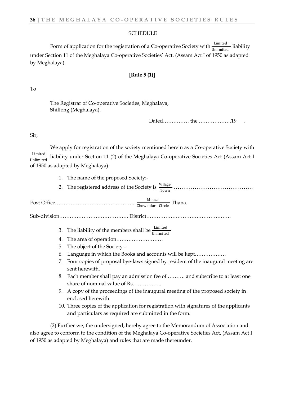#### **SCHEDULE**

Form of application for the registration of a Co-operative Society with  $\frac{\text{Limited}}{\text{Unlimited}}$  liability under Section 11 of the Meghalaya Co-operative Societies' Act. (Assam Act I of 1950 as adapted by Meghalaya).

#### **[Rule 5 (1)]**

#### To

The Registrar of Co-operative Societies, Meghalaya, Shillong (Meghalaya).

Dated…………… the ……………………19

#### Sir,

We apply for registration of the society mentioned herein as a Co-operative Society with Limited liability under Section 11 (2) of the Meghalaya Co-operative Societies Act (Assam Act I Unlimited of 1950 as adapted by Meghalaya).

- 1. The name of the proposed Society:-
- 2. The registered address of the Society is Village Town ……………………………………

Post Office……………………………………………………… <u>Mouza</u> Thana.

Sub-division…………………………………. District………………………………………….

- 3. The liability of the members shall be  $\frac{\text{Limited}}{\text{Unlimited}}$
- 4. The area of operation………………………
- 5. The object of the Society –
- 6. Language in which the Books and accounts will be kept………………
- 7. Four copies of proposal bye-laws signed by resident of the inaugural meeting are sent herewith.
- 8. Each member shall pay an admission fee of ………. and subscribe to at least one share of nominal value of Rs……………..
- 9. A copy of the proceedings of the inaugural meeting of the proposed society in enclosed herewith.
- 10. Three copies of the application for registration with signatures of the applicants and particulars as required are submitted in the form.

(2) Further we, the undersigned, hereby agree to the Memorandum of Association and also agree to conform to the condition of the Meghalaya Co-operative Societies Act, (Assam Act I of 1950 as adapted by Meghalaya) and rules that are made thereunder.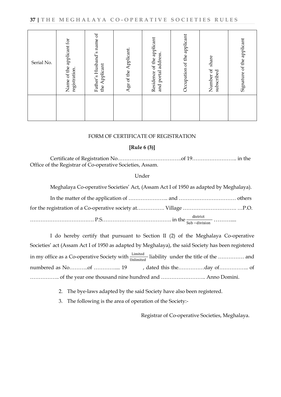| Serial No. | Name of the applicant for<br>registration. | Father's Husband's name of<br>the Applicant | Age of the Applicant | Residence of the applicant<br>and portal address. | Occupation of the applicant | share<br>Number of<br>subscribed | Signature of the applicant |
|------------|--------------------------------------------|---------------------------------------------|----------------------|---------------------------------------------------|-----------------------------|----------------------------------|----------------------------|
|            |                                            |                                             |                      |                                                   |                             |                                  |                            |

#### FORM OF CERTIFICATE OF REGISTRATION

#### **[Rule 6 (3)]**

Certificate of Registration No……………………………….of 19…………………….. in the Office of the Registrar of Co-operative Societies, Assam.

#### Under

Meghalaya Co-operative Societies' Act, (Assam Act I of 1950 as adapted by Meghalaya).

I do hereby certify that pursuant to Section II (2) of the Meghalaya Co-operative Societies' act (Assam Act I of 1950 as adapted by Meghalaya), the said Society has been registered in my office as a Co-operative Society with  $\frac{\text{Limited}}{\text{Unlimited}}$  liability under the title of the ............... and numbered as No………..of ………….... 19 , dated this the……………day of…………….. of …………….. of the year one thousand nine hundred and …………………….. Anno Domini.

- 2. The bye-laws adapted by the said Society have also been registered.
- 3. The following is the area of operation of the Society:-

Registrar of Co-operative Societies, Meghalaya.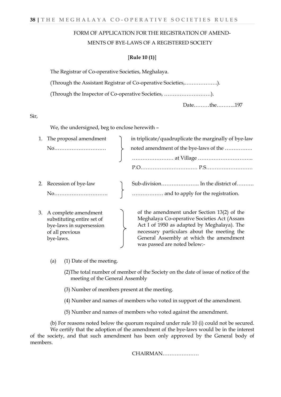# FORM OF APPLICATION FOR THE REGISTRATION OF AMEND- MENTS OF BYE-LAWS OF A REGISTERED SOCIETY

#### [**Rule 10 (1)**]

| The Registrar of Co-operative Societies, Meghalaya.           |
|---------------------------------------------------------------|
| (Through the Assistant Registrar of Co-operative Societies,). |
|                                                               |
| Datethe197                                                    |

Sir,

We, the undersigned, beg to enclose herewith –

| The proposal amendment                                                                                            | in triplicate/quadruplicate the marginally of bye-law                                                                                                                                                                               |
|-------------------------------------------------------------------------------------------------------------------|-------------------------------------------------------------------------------------------------------------------------------------------------------------------------------------------------------------------------------------|
|                                                                                                                   | noted amendment of the bye-laws of the                                                                                                                                                                                              |
|                                                                                                                   |                                                                                                                                                                                                                                     |
|                                                                                                                   |                                                                                                                                                                                                                                     |
| 2. Recession of bye-law                                                                                           |                                                                                                                                                                                                                                     |
| No                                                                                                                | and to apply for the registration.                                                                                                                                                                                                  |
| 3. A complete amendment<br>substituting entire set of<br>bye-laws in supersession<br>of all previous<br>bye-laws. | of the amendment under Section 13(2) of the<br>Meghalaya Co-operative Societies Act (Assam<br>Act I of 1950 as adapted by Meghalaya). The<br>necessary particulars about the meeting the<br>General Assembly at which the amendment |

- (a) (1) Date of the meeting.
	- (2)The total number of member of the Society on the date of issue of notice of the meeting of the General Assembly

was passed are noted below:-

(3) Number of members present at the meeting.

 $\frac{1}{2}$ 

- (4) Number and names of members who voted in support of the amendment.
- (5) Number and names of members who voted against the amendment.

(b) For reasons noted below the quorum required under rule 10 (i) could not be secured. We certify that the adoption of the amendment of the bye-laws would be in the interest of the society, and that such amendment has been only approved by the General body of members.

CHAIRMAN…………………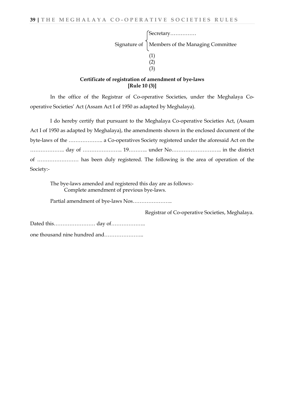| [Secretary                                     |
|------------------------------------------------|
| Signature of Members of the Managing Committee |
|                                                |
|                                                |
|                                                |

#### **Certificate of registration of amendment of bye-laws [Rule 10 (3)]**

In the office of the Registrar of Co-operative Societies, under the Meghalaya Cooperative Societies' Act (Assam Act I of 1950 as adapted by Meghalaya).

I do hereby certify that pursuant to the Meghalaya Co-operative Societies Act, (Assam Act I of 1950 as adapted by Meghalaya), the amendments shown in the enclosed document of the byte-laws of the ……………….. a Co-operatives Society registered under the aforesaid Act on the ……………….. day of ………………….. 19……….. under No……………………….. in the district of …………………… has been duly registered. The following is the area of operation of the Society:-

The bye-laws amended and registered this day are as follows:- Complete amendment of previous bye-laws.

Partial amendment of bye-laws Nos…………………..

Registrar of Co-operative Societies, Meghalaya.

Dated this…………………… day of……………….. one thousand nine hundred and…………………..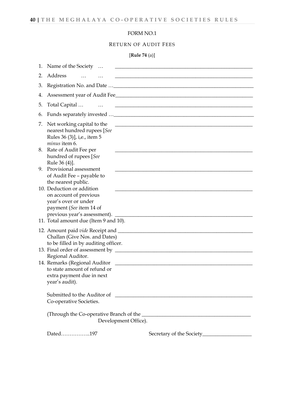# FORM NO.1

# RETURN OF AUDIT FEES

[**Rule 74** (a)]

| 1. | Name of the Society                                                                                       |                                                                                                                      |
|----|-----------------------------------------------------------------------------------------------------------|----------------------------------------------------------------------------------------------------------------------|
| 2. | Address                                                                                                   | <u> 1989 - Johann John Stone, mars and de final and de final and de final and de final and de final and de final</u> |
| 3. |                                                                                                           |                                                                                                                      |
| 4. |                                                                                                           | Assessment year of Audit Fee                                                                                         |
| 5. | Total Capital                                                                                             |                                                                                                                      |
| 6. |                                                                                                           |                                                                                                                      |
| 7. | Net working capital to the<br>nearest hundred rupees [See<br>Rules 36 (3)], i,e., item 5<br>minus item 6. | <u> 1989 - Johann John Stone, markin film yn y brenin y brenin y brenin y brenin y brenin y brenin y brenin y br</u> |
| 8. | Rate of Audit Fee per<br>hundred of rupees [See<br>Rule 36 (4)].                                          |                                                                                                                      |
| 9. | Provisional assessment<br>of Audit Fee - payable to                                                       |                                                                                                                      |
|    | the nearest public.<br>10. Deduction or addition                                                          |                                                                                                                      |
|    | on account of previous<br>year's over or under<br>payment (See item 14 of<br>previous year's assessment). |                                                                                                                      |
|    | 11. Total amount due (Item 9 and 10).                                                                     |                                                                                                                      |
|    | Challan (Give Nos. and Dates)<br>to be filled in by auditing officer.                                     |                                                                                                                      |
|    |                                                                                                           |                                                                                                                      |
|    | Regional Auditor.<br>14. Remarks (Regional Auditor                                                        |                                                                                                                      |
|    | to state amount of refund or<br>extra payment due in next<br>year's audit).                               |                                                                                                                      |
|    | Co-operative Societies.                                                                                   |                                                                                                                      |
|    |                                                                                                           | Development Office).                                                                                                 |
|    | Dated197                                                                                                  |                                                                                                                      |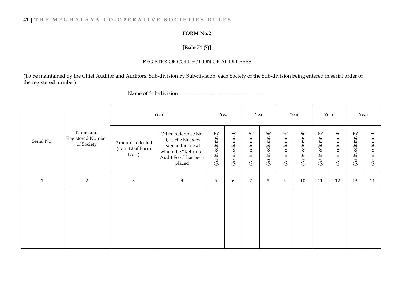# **41 | THE MEGHALAYA CO - OPERATIVE SOCIETIES RULES**

#### **FORM No.2**

# **[Rule 74 (7)]**

#### REGISTER OF COLLECTION OF AUDIT FEES

(To be maintained by the Chief Auditor and Auditors, Sub-division by Sub-division, each Society of the Sub-division being entered in serial order of the registered number)

Name of Sub-division……………………………………………

|              |                                             | Year                                          |                                                                                                                               |                  | Year                         |                                          | Year                            |                                             | Year             |                                          | Year                      |                                             | Year                         |
|--------------|---------------------------------------------|-----------------------------------------------|-------------------------------------------------------------------------------------------------------------------------------|------------------|------------------------------|------------------------------------------|---------------------------------|---------------------------------------------|------------------|------------------------------------------|---------------------------|---------------------------------------------|------------------------------|
| Serial No.   | Name and<br>Registered Number<br>of Society | Amount collected<br>(item 12 of Form<br>No.1) | Office Reference No.<br>(i,e., File No. plus<br>page in the file at<br>which the "Return of<br>Audit Fees" has been<br>placed | (As in column 3) | $\bigoplus$<br>(As in column | $\widehat{\mathcal{E}}$<br>(As in column | $\bigoplus$<br>column<br>(As in | $\widehat{\mathcal{E}}$<br>column<br>(As in | (As in column 4) | $\widehat{\mathcal{E}}$<br>(As in column | $\oplus$<br>(As in column | $\widehat{\mathcal{E}}$<br>column<br>(As in | $\bigoplus$<br>(As in column |
| $\mathbf{1}$ | $\overline{2}$                              | $\mathfrak{Z}$                                | $\overline{4}$                                                                                                                | 5                | 6                            | $\overline{7}$                           | $8\,$                           | 9                                           | 10               | 11                                       | 12                        | 13                                          | 14                           |
|              |                                             |                                               |                                                                                                                               |                  |                              |                                          |                                 |                                             |                  |                                          |                           |                                             |                              |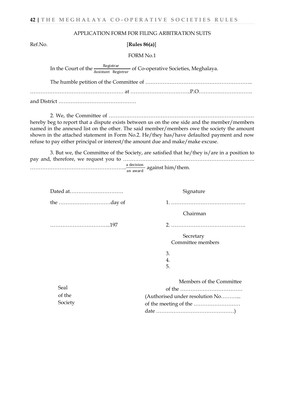#### APPLICATION FORM FOR FILING ARBITRATION SUITS

Ref.No. [**Rules 86(a)**]

FORM No.1

In the Court of the *Registrar* of Co-operative Societies, Meghalaya.

The humble petition of the Committee of …………………………………………………….. ……………………………………………… at ……………………………..P.O………………………….

and District ………………………………………

2. We, the Committee of ………………………………………………………………………… hereby beg to report that a dispute exists between us on the one side and the member/members named in the annexed list on the other. The said member/members owe the society the amount shown in the attached statement in Form No.2. He/they has/have defaulted payment and now refuse to pay either principal or interest/the amount due and make/make excuse.

3. But we, the Committee of the Society, are satisfied that he/they is/are in a position to pay and, therefore, we request you to …………………………………………………………………. a decision<br>an award against him/them.

| Dated at    | Signature                       |
|-------------|---------------------------------|
|             |                                 |
|             | Chairman                        |
|             |                                 |
|             | Secretary                       |
|             | Committee members               |
|             | 3.                              |
|             | 4.                              |
|             | 5.                              |
|             | Members of the Committee        |
| <b>Seal</b> |                                 |
| of the      | (Authorised under resolution No |
| Society     |                                 |
|             |                                 |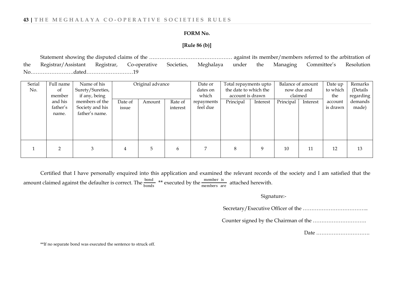#### **FORM No.**

#### **[Rule 86 (b)]**

Statement showing the disputed claims of the ………………………………………… against its member/members referred to the arbitration of the Registrar/Assistant Registrar, Co-operative Societies, Meghalaya under the Managing Committee's Resolution No…………………….dated………………………19

| Serial | Full name     | Name of his      |         | Original advance |          | Date or    | Total repayments upto |          | Balance of amount |          | Date up  | Remarks   |
|--------|---------------|------------------|---------|------------------|----------|------------|-----------------------|----------|-------------------|----------|----------|-----------|
| No.    | <sub>of</sub> | Surety/Sureties, |         |                  |          | dates on   | the date to which the |          | now due and       |          | to which | (Details  |
|        | member        | if any, being    |         |                  |          | which      | account is drawn      |          |                   | claimed  | the      | regarding |
|        | and his       | members of the   | Date of | Amount           | Rate of  | repayments | Principal             | Interest | Principal         | Interest | account  | demands   |
|        | father's      | Society and his  | issue   |                  | interest | feel due   |                       |          |                   |          | is drawn | made)     |
|        | name.         | father's name.   |         |                  |          |            |                       |          |                   |          |          |           |
|        |               |                  |         |                  |          |            |                       |          |                   |          |          |           |
|        |               |                  |         |                  |          |            |                       |          |                   |          |          |           |
|        |               |                  |         |                  |          |            |                       |          |                   |          |          |           |
|        |               |                  |         |                  |          |            |                       |          |                   |          |          |           |
|        |               |                  |         |                  |          |            |                       |          |                   |          |          |           |
|        |               | 3                |         | 5                | 6        |            | 8                     | 9        | 10                | 11       | 12       | 13        |
|        |               |                  |         |                  |          |            |                       |          |                   |          |          |           |

Certified that I have personally enquired into this application and examined the relevant records of the society and I am satisfied that the amount claimed against the defaulter is correct. The  $\frac{bond}{bonds}$  \*\* executed by the  $\frac{member}{members}$  attached herewith.

#### Signature:-

Secretary/Executive Officer of the ………………………………..

Counter signed by the Chairman of the ………………………….

Date ………………………….

\*\*If no separate bond was executed the sentence to struck off.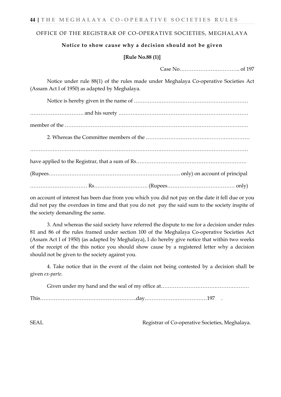#### OFFICE OF THE REGISTRAR OF CO-OPERATIVE SOCIETIES, MEGHALAYA

# **Notice to show cause why a decision should not be given**

#### **[Rule No.88 (1)]**

Case No…………………………….. of 197

Notice under rule 88(1) of the rules made under Meghalaya Co-operative Societies Act (Assam Act I of 1950) as adapted by Meghalaya.

on account of interest has been due from you which you did not pay on the date it fell due or you did not pay the overdues in time and that you do not pay the said sum to the society inspite of the society demanding the same.

3. And whereas the said society have referred the dispute to me for a decision under rules 81 and 86 of the rules framed under section 100 of the Meghalaya Co-operative Societies Act (Assam Act I of 1950) (as adapted by Meghalaya), I do hereby give notice that within two weeks of the receipt of the this notice you should show cause by a registered letter why a decision should not be given to the society against you.

4. Take notice that in the event of the claim not being contested by a decision shall be given *ex-parte.*

SEAL Registrar of Co-operative Societies, Meghalaya.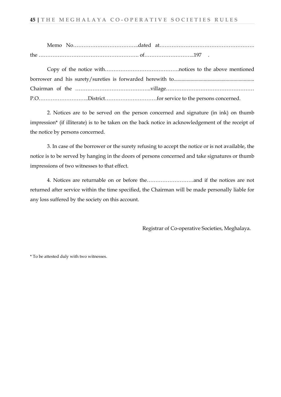| Memo | $N_{\Omega}$ |  |  |
|------|--------------|--|--|
| the  |              |  |  |

2. Notices are to be served on the person concerned and signature (in ink) on thumb impression\* (if illiterate) is to be taken on the back notice in acknowledgement of the receipt of the notice by persons concerned.

3. In case of the borrower or the surety refusing to accept the notice or is not available, the notice is to be served by hanging in the doors of persons concerned and take signatures or thumb impressions of two witnesses to that effect.

4. Notices are returnable on or before the………………………and if the notices are not returned after service within the time specified, the Chairman will be made personally liable for any loss suffered by the society on this account.

Registrar of Co-operative Societies, Meghalaya.

\* To be attested duly with two witnesses.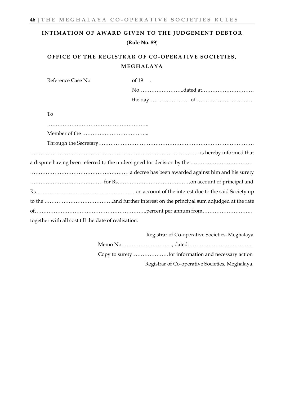# **INTIMATION OF AWARD GIVEN TO THE JUDGEMENT DEBTOR** (**Rule No. 89**)

# **OFFICE OF THE REGISTRAR OF CO-OPERATIVE SOCIETIES, MEGHALAYA**

| Reference Case No                                    | of $19$ . |
|------------------------------------------------------|-----------|
|                                                      |           |
|                                                      |           |
| To                                                   |           |
|                                                      |           |
|                                                      |           |
|                                                      |           |
|                                                      |           |
|                                                      |           |
|                                                      |           |
|                                                      |           |
|                                                      |           |
|                                                      |           |
|                                                      |           |
| together with all cost till the date of realisation. |           |

 Registrar of Co-operative Societies, Meghalaya Memo No………………………..., dated……………………………….. Copy to surety…………………for information and necessary action Registrar of Co-operative Societies, Meghalaya.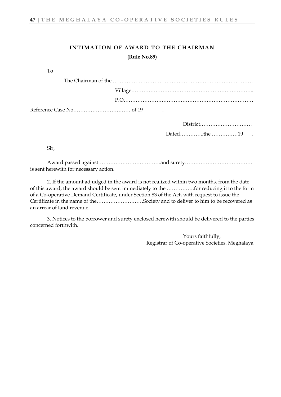# **INTIMATION OF AWARD TO THE CHAIRMAN (Rule No.89)**

Dated…………..the ……………19 .

Sir,

Award passed against………………………………and surety………………………………… is sent herewith for necessary action.

2. If the amount adjudged in the award is not realized within two months, from the date of this award, the award should be sent immediately to the …………….for reducing it to the form of a Co-operative Demand Certificate, under Section 83 of the Act, with request to issue the Certificate in the name of the………………………Society and to deliver to him to be recovered as an arrear of land revenue.

3. Notices to the borrower and surety enclosed herewith should be delivered to the parties concerned forthwith.

> Yours faithfully, Registrar of Co-operative Societies, Meghalaya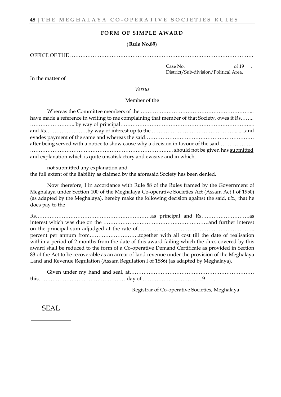#### **FORM OF SIMPLE AWARD**

#### ( **Rule No.89**)

OFFICE OF THE …………………………………………………………………………………………….

In the matter of

Case No. 66 19 District/Sub-division/Political Area.

*Versus*

Member of the

| have made a reference in writing to me complaining that member of that Society, owes it Rs |
|--------------------------------------------------------------------------------------------|
|                                                                                            |
|                                                                                            |
|                                                                                            |
| after being served with a notice to show cause why a decision in favour of the said        |
|                                                                                            |
| and explanation which is quite unsatisfactory and evasive and in which.                    |

not submitted any explanation and the full extent of the liability as claimed by the aforesaid Society has been denied.

Now therefore, I in accordance with Rule 88 of the Rules framed by the Government of Meghalaya under Section 100 of the Meghalaya Co-operative Societies Act (Assam Act I of 1950) (as adapted by the Meghalaya), hereby make the following decision against the said, *viz.,* that he does pay to the

Rs………………………………………………………….as principal and Rs……………………….as interest which was due on the …………………………………………………….and further interest on the principal sum adjudged at the rate of………………………………………………………….. percent per annum from………………………..together with all cost till the date of realisation within a period of 2 months from the date of this award failing which the dues covered by this award shall be reduced to the form of a Co-operative Demand Certificate as provided in Section 83 of the Act to be recoverable as an arrear of land revenue under the provision of the Meghalaya Land and Revenue Regulation (Assam Regulation I of 1886) (as adapted by Meghalaya).

Given under my hand and seal, at……………………………………………………………… this……………………………………………day of ……………………………19 .

Registrar of Co-operative Societies, Meghalaya

SEAL.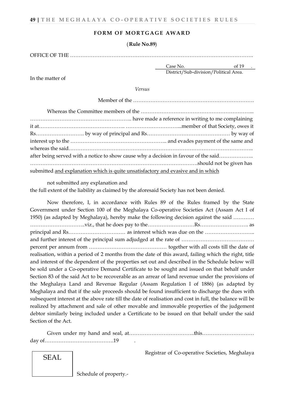#### **FORM OF MORTGAGE AWARD**

#### ( **Rule No.89**)

OFFICE OF THE …………………………………………………………………………………………….

In the matter of

Case No. 6. of 19 District/Sub-division/Political Area.

*Versus*

| after being served with a notice to show cause why a decision in favour of the said |  |
|-------------------------------------------------------------------------------------|--|
|                                                                                     |  |
| submitted and explanation which is quite unsatisfactory and evasive and in which    |  |

not submitted any explanation and

the full extent of the liability as claimed by the aforesaid Society has not been denied.

Now therefore, I, in accordance with Rules 89 of the Rules framed by the State Government under Section 100 of the Meghalaya Co-operative Societies Act (Assam Act I of 1950) (as adapted by Meghalaya), hereby make the following decision against the said ………… …………………………..viz., that he does pay to the………………………Rs………………………. as principal and Rs…………………………… as interest which was due on the ……………………….. and further interest of the principal sum adjudged at the rate of …………………………………… percent per annum from ……………………………………… together with all costs till the date of realisation, within a period of 2 months from the date of this award, failing which the right, title and interest of the dependent of the properties set out and described in the Schedule below will be sold under a Co-operative Demand Certificate to be sought and issued on that behalf under Section 83 of the said Act to be recoverable as an arrear of land revenue under the provisions of the Meghalaya Land and Revenue Regular (Assam Regulation I of 1886) (as adapted by Meghalaya and that if the sale proceeds should be found insufficient to discharge the dues with subsequent interest at the above rate till the date of realisation and cost in full, the balance will be realized by attachment and sale of other movable and immovable properties of the judgement debtor similarly being included under a Certificate to be issued on that behalf under the said Section of the Act.

Given under my hand and seal, at………………………………..this………………………… day of………………………………….19 .

Registrar of Co-operative Societies, Meghalaya

SEAL

Schedule of property.-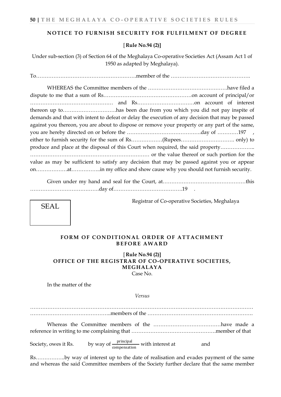#### **NOTICE TO FURNISH SECURITY FOR FULFILMENT OF DEGREE**

#### [ **Rule No.94 (2)]**

Under sub-section (3) of Section 64 of the Meghalaya Co-operative Societies Act (Assam Act 1 of 1950 as adapted by Meghalaya).

To………………………………………………….member of the ……………………………………….

WHEREAS the Committee members of the ……………………………………….have filed a dispute to me that a sum of Rs……………………………………………on account of principal/or ………………………………………… and Rs……………………………on account of interest thereon up to………………………….has been due from you which you did not pay inspite of demands and that with intent to defeat or delay the execution of any decision that may be passed against you thereon, you are about to dispose or remove your property or any part of the same, you are hereby directed on or before the …………………………………….day of …………197 , either to furnish security for the sum of Rs………………(Rupees…………………………. only) to produce and place at the disposal of this Court when required, the said property……………….. …………………………………………………………… or the value thereof or such portion for the value as may be sufficient to satisfy any decision that may be passed against you or appear on………………at……………..in my office and show cause why you should not furnish security.

Given under my hand and seal for the Court, at…………………………………………this ………………………………….day of………………………………….19 .

Registrar of Co-operative Societies, Meghalaya



[ **Rule No.94 (2)] OFFICE OF THE REGISTRAR OF CO-OPERATIVE SOCIETIES, MEGHALAYA** Case No.

In the matter of the

SEAL.

*Versus*

………………………………………………………………………………………………………………… ………………………………………..members of the ……………………………………………………. Whereas the Committee members of the …………………………………have made a reference in writing to me complaining that ………………………………………….member of that Society, owes it Rs. by way of  $\frac{\text{principal}}{\text{ compensation}}$  with interest at and

Rs……………..by way of interest up to the date of realisation and evades payment of the same and whereas the said Committee members of the Society further declare that the same member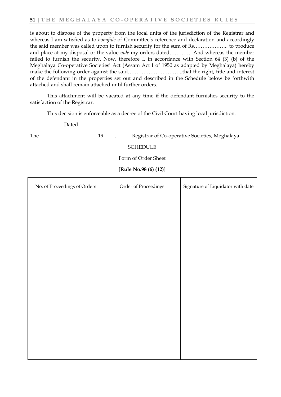is about to dispose of the property from the local units of the jurisdiction of the Registrar and whereas I am satisfied as to *bonafide* of Committee's reference and declaration and accordingly the said member was called upon to furnish security for the sum of Rs……………….. to produce and place at my disposal or the value *vide* my orders dated…………. And whereas the member failed to furnish the security. Now, therefore I, in accordance with Section 64 (3) (b) of the Meghalaya Co-operative Societies' Act (Assam Act I of 1950 as adapted by Meghalaya) hereby make the following order against the said…………………………..that the right, title and interest of the defendant in the properties set out and described in the Schedule below be forthwith attached and shall remain attached until further orders.

This attachment will be vacated at any time if the defendant furnishes security to the satisfaction of the Registrar.

This decision is enforceable as a decree of the Civil Court having local jurisdiction.

Dated The 19 19 . Registrar of Co-operative Societies, Meghalaya

**SCHEDULE** 

Form of Order Sheet

[**Rule No.98 (6) (12)**]

| No. of Proceedings of Orders | Order of Proceedings | Signature of Liquidator with date |
|------------------------------|----------------------|-----------------------------------|
|                              |                      |                                   |
|                              |                      |                                   |
|                              |                      |                                   |
|                              |                      |                                   |
|                              |                      |                                   |
|                              |                      |                                   |
|                              |                      |                                   |
|                              |                      |                                   |
|                              |                      |                                   |
|                              |                      |                                   |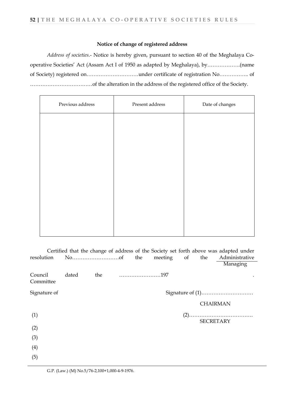#### **Notice of change of registered address**

*Address of societies*.- Notice is hereby given, pursuant to section 40 of the Meghalaya Cooperative Societies' Act (Assam Act I of 1950 as adapted by Meghalaya), by……………….(name of Society) registered on…………………………under certificate of registration No…………….. of ………………………………of the alteration in the address of the registered office of the Society.

| Present address | Date of changes |
|-----------------|-----------------|
|                 |                 |
|                 |                 |
|                 |                 |
|                 |                 |
|                 |                 |
|                 |                 |
|                 |                 |
|                 |                 |

| resolution           |       |  | the meeting of | the              | Certified that the change of address of the Society set forth above was adapted under<br>Administrative |
|----------------------|-------|--|----------------|------------------|---------------------------------------------------------------------------------------------------------|
|                      |       |  |                |                  | Managing                                                                                                |
| Council<br>Committee | dated |  |                |                  |                                                                                                         |
| Signature of         |       |  |                |                  |                                                                                                         |
|                      |       |  |                | <b>CHAIRMAN</b>  |                                                                                                         |
| (1)                  |       |  |                | <b>SECRETARY</b> |                                                                                                         |
| (2)                  |       |  |                |                  |                                                                                                         |
| (3)                  |       |  |                |                  |                                                                                                         |
| (4)                  |       |  |                |                  |                                                                                                         |
| (5)                  |       |  |                |                  |                                                                                                         |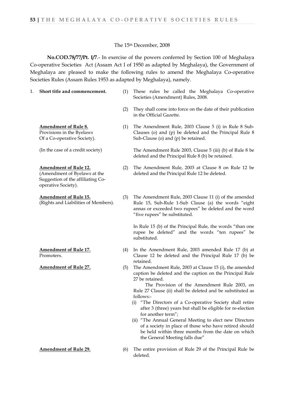#### The 15th December, 2008

**No.COD.78/77/Pt. I/7**.- In exercise of the powers conferred by Section 100 of Meghalaya Co-operative Societies Act (Assam Act I of 1950 as adapted by Meghalaya), the Government of Meghalaya are pleased to make the following rules to amend the Meghalaya Co-operative Societies Rules (Assam Rules 1953 as adapted by Meghalaya), namely.

- 
- 1. **Short title and commencement.** (1) These rules be called the Meghalaya Co-operative Societies (Amendment) Rules, 2008.
	- (2) They shall come into force on the date of their publication in the Official Gazette.
	- (1) The Amendment Rule, 2003 Clause 5 (i) in Rule 8 Sub-Clauses (o) and (p) be deleted and the Principal Rule 8 Sub-Clause (o) and (p) be retained.

The Amendment Rule 2003, Clause 5 (iii) (b) of Rule 8 be deleted and the Principal Rule 8 (b) be retained.

- (2) The Amendment Rule, 2003 at Clause 8 on Rule 12 be deleted and the Principal Rule 12 be deleted.
- (3) The Amendment Rule, 2003 Clause 11 (i) of the amended Rule 15, Sub-Rule 1-Sub Clause (a) the words "eight annas or exceeded two rupees" be deleted and the word "five rupees" be substituted.

In Rule 15 (b) of the Principal Rule, the words "than one rupee be deleted" and the words "ten rupees" be substituted.

- (4) In the Amendment Rule, 2003 amended Rule 17 (b) at Clause 12 be deleted and the Principal Rule 17 (b) be retained.
- **Amendment of Rule 27.** (5) The Amendment Rule, 2003 at Clause 15 (i), the amended caption be deleted and the caption on the Principal Rule 27 be retained.

 The Provision of the Amendment Rule 2003, on Rule 27 Clause (ii) shall be deleted and be substituted as follows:-

- (i) "The Directors of a Co-operative Society shall retire after 3 (three) years but shall be eligible for re-election for another term";
- (ii) "The Annual General Meeting to elect new Directors of a society in place of those who have retired should be held within three months from the date on which the General Meeting falls due"
- **Amendment of Rule 29.** (6) The entire provision of Rule 29 of the Principal Rule be deleted.

**Amendment of Rule 8.** Provisions in the Byelaws Of a Co-operative Society).

(In the case of a credit society)

**Amendment of Rule 12.** (Amendment of Byelaws at the Suggestion of the affiliating Cooperative Society).

**Amendment of Rule 15.**

(Rights and Liabilities of Members).

**Amendment of Rule 17.** Promoters.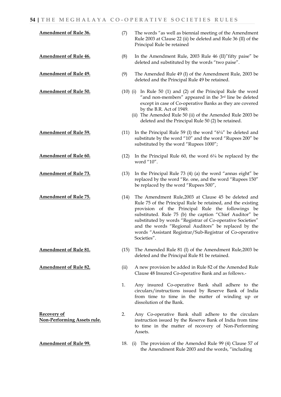| <b>Amendment of Rule 36.</b> | (7)        | The words "as well as biennial meeting of the Amendment<br>Rule 2003 at Clause 22 (ii) be deleted and Rule 36 (II) of the<br>Principal Rule be retained                                                                                                                                                                                                                                                                             |
|------------------------------|------------|-------------------------------------------------------------------------------------------------------------------------------------------------------------------------------------------------------------------------------------------------------------------------------------------------------------------------------------------------------------------------------------------------------------------------------------|
| <b>Amendment of Rule 46.</b> | (8)        | In the Amendment Rule, 2003 Rule 46 (II)" fifty paise" be<br>deleted and substituted by the words "two paise".                                                                                                                                                                                                                                                                                                                      |
| <b>Amendment of Rule 49.</b> | (9)        | The Amended Rule 49 (I) of the Amendment Rule, 2003 be<br>deleted and the Principal Rule 49 be retained.                                                                                                                                                                                                                                                                                                                            |
| <b>Amendment of Rule 50.</b> | $(10)$ (i) | In Rule 50 (1) and (2) of the Principal Rule the word<br>"and non-members" appeared in the 3rd line be deleted<br>except in case of Co-operative Banks as they are covered<br>by the B.R. Act of 1949.<br>(ii) The Amended Rule 50 (ii) of the Amended Rule 2003 be<br>deleted and the Principal Rule 50 (2) be retained.                                                                                                           |
| <b>Amendment of Rule 59.</b> | (11)       | In the Principal Rule 59 (I) the word " $6\frac{1}{4}$ " be deleted and<br>substitute by the word "10" and the word "Rupees 200" be<br>substituted by the word "Rupees 1000";                                                                                                                                                                                                                                                       |
| <b>Amendment of Rule 60.</b> | (12)       | In the Principal Rule 60, the word $6\frac{1}{4}$ be replaced by the<br>word "10".                                                                                                                                                                                                                                                                                                                                                  |
| <b>Amendment of Rule 73.</b> | (13)       | In the Principal Rule 73 (4) (a) the word "annas eight" be<br>replaced by the word "Re. one, and the word "Rupees 150"<br>be replaced by the word "Rupees 500",                                                                                                                                                                                                                                                                     |
| <b>Amendment of Rule 75.</b> | (14)       | The Amendment Rule,2003 at Clause 45 be deleted and<br>Rule 75 of the Principal Rule be retained, and the existing<br>provision of the Principal Rule the followings be<br>substituted. Rule 75 (b) the caption "Chief Auditor" be<br>substituted by words "Registrar of Co-operative Societies"<br>and the words "Regional Auditors" be replaced by the<br>words "Assistant Registrar/Sub-Registrar of Co-operative<br>Societies". |
| <b>Amendment of Rule 81.</b> | (15)       | The Amended Rule 81 (I) of the Amendment Rule, 2003 be<br>deleted and the Principal Rule 81 be retained.                                                                                                                                                                                                                                                                                                                            |
| <b>Amendment of Rule 82.</b> | (ii)       | A new provision be added in Rule 82 of the Amended Rule<br>Clause 48 Insured Co-operative Bank and as follows.-                                                                                                                                                                                                                                                                                                                     |
|                              | 1.         | Any insured Co-operative Bank shall adhere to the<br>circulars/instructions issued by Reserve Bank of India<br>from time to time in the matter of winding up or                                                                                                                                                                                                                                                                     |

**Recovery of Non-Performing Assets rule.**

- 
- to time in the matter of recovery of Non-Performing Assets.

2. Any Co-operative Bank shall adhere to the circulars instruction issued by the Reserve Bank of India from time

dissolution of the Bank.

**Amendment of Rule 99.** 18. (i) The provision of the Amended Rule 99 (4) Clause 57 of the Amendment Rule 2003 and the words, "including